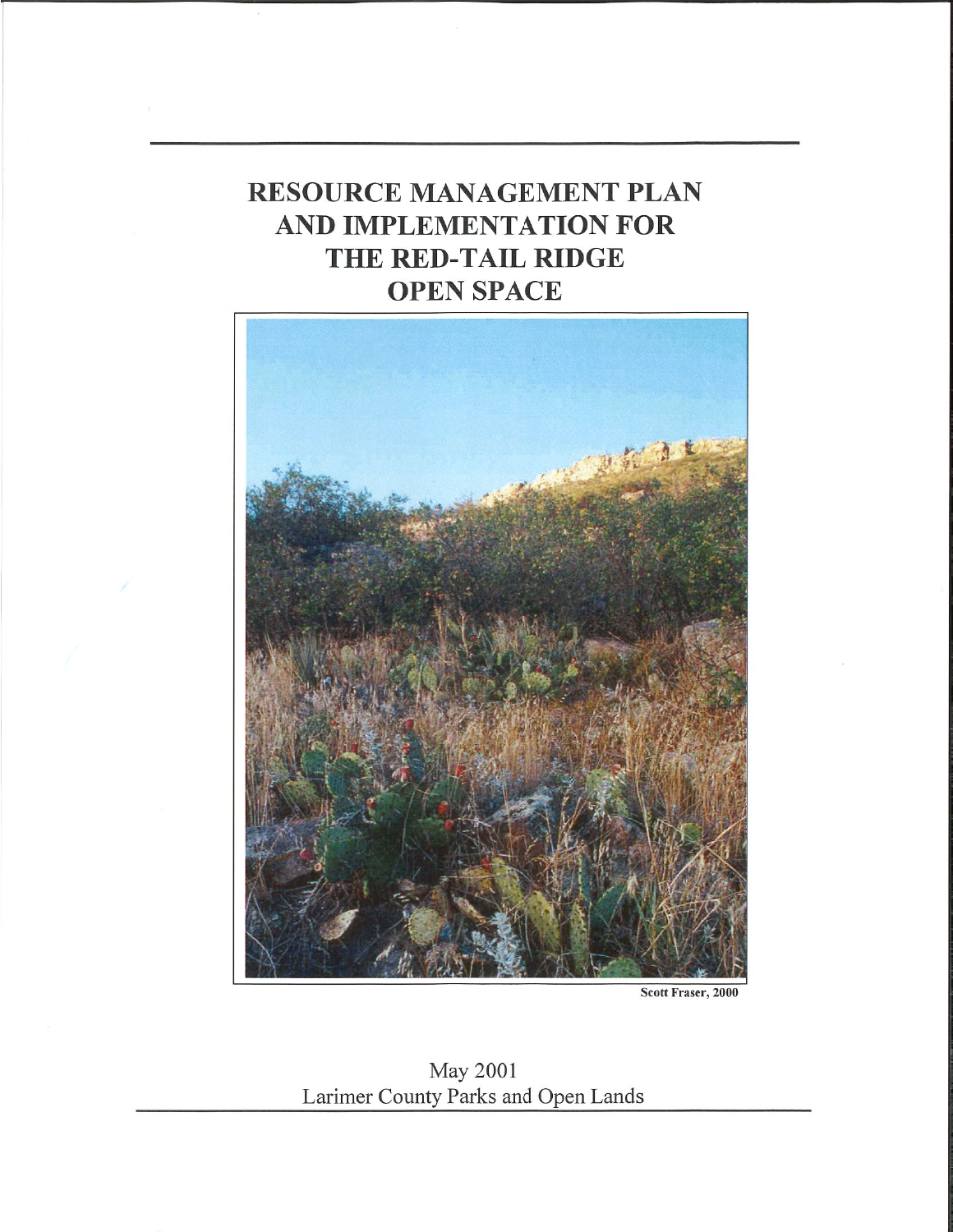# **RESOURCE MANAGEMENT PLAN** AND IMPLEMENTATION FOR THE RED-TAIL RIDGE **OPEN SPACE**



Scott Fraser, 2000

May 2001 Larimer County Parks and Open Lands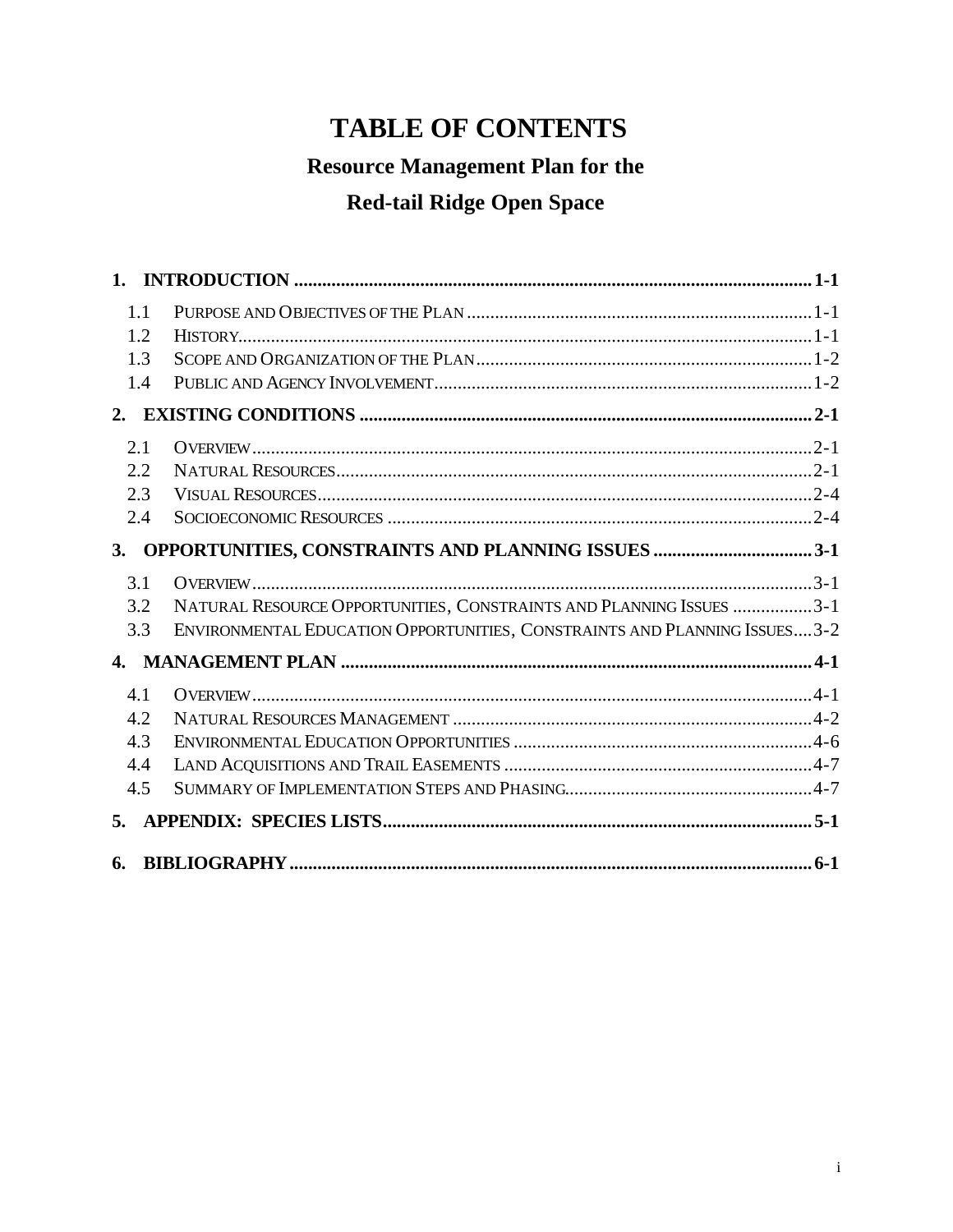# **TABLE OF CONTENTS**

# **Resource Management Plan for the**

# **Red-tail Ridge Open Space**

| 1.1          |                                                                           |  |
|--------------|---------------------------------------------------------------------------|--|
| 1.2          |                                                                           |  |
| 1.3          |                                                                           |  |
| 1.4          |                                                                           |  |
|              |                                                                           |  |
| 2.1          |                                                                           |  |
| 2.2          |                                                                           |  |
| 2.3          |                                                                           |  |
| 2.4          |                                                                           |  |
| 3.           |                                                                           |  |
| 3.1          |                                                                           |  |
| 3.2          | NATURAL RESOURCE OPPORTUNITIES, CONSTRAINTS AND PLANNING ISSUES 3-1       |  |
| 3.3          | ENVIRONMENTAL EDUCATION OPPORTUNITIES, CONSTRAINTS AND PLANNING ISSUES3-2 |  |
| $\mathbf{4}$ |                                                                           |  |
| 4.1          |                                                                           |  |
| 4.2          |                                                                           |  |
| 4.3          |                                                                           |  |
| 4.4          |                                                                           |  |
| 4.5          |                                                                           |  |
| 5.           |                                                                           |  |
| 6.           |                                                                           |  |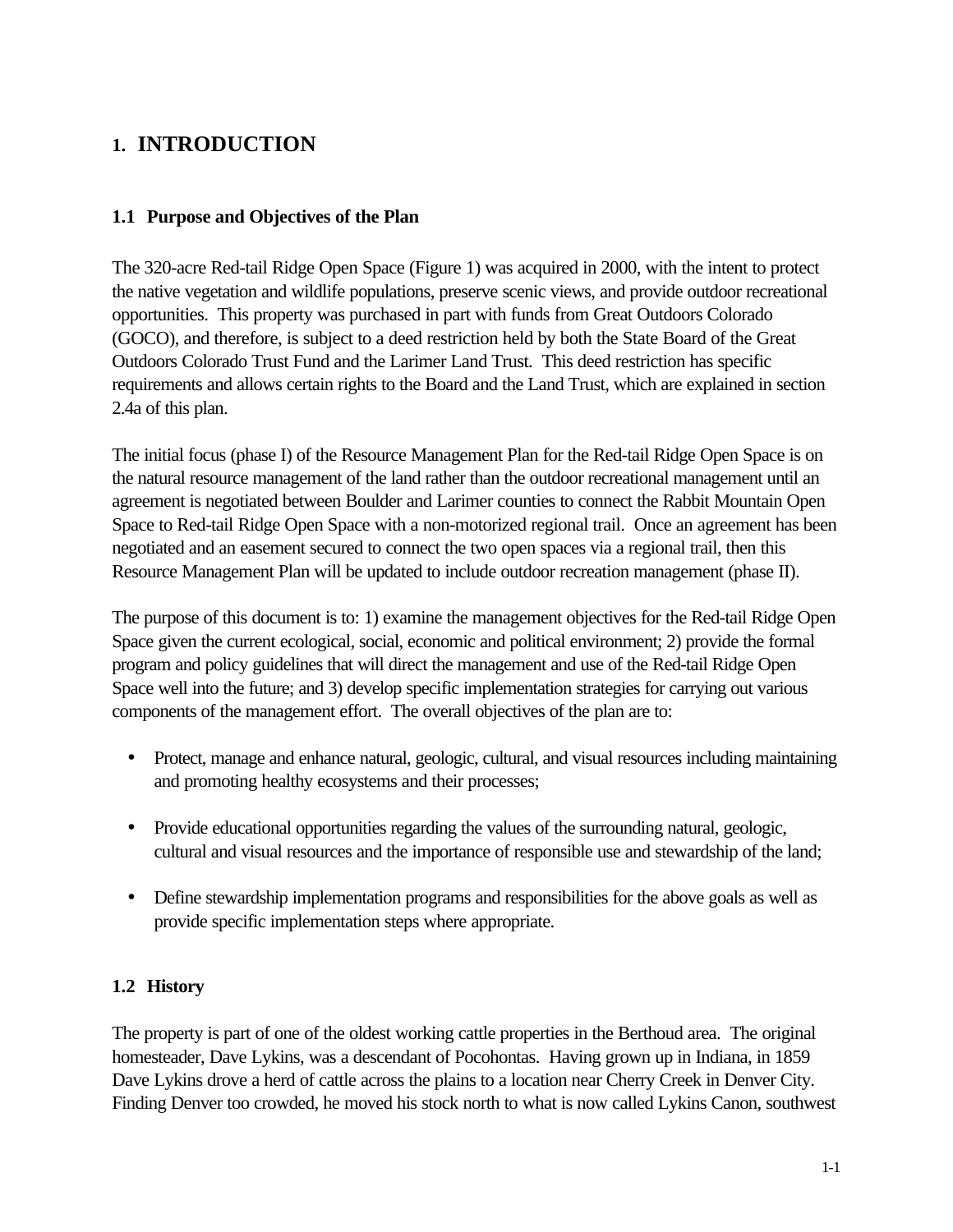## **1. INTRODUCTION**

#### **1.1 Purpose and Objectives of the Plan**

The 320-acre Red-tail Ridge Open Space (Figure 1) was acquired in 2000, with the intent to protect the native vegetation and wildlife populations, preserve scenic views, and provide outdoor recreational opportunities. This property was purchased in part with funds from Great Outdoors Colorado (GOCO), and therefore, is subject to a deed restriction held by both the State Board of the Great Outdoors Colorado Trust Fund and the Larimer Land Trust. This deed restriction has specific requirements and allows certain rights to the Board and the Land Trust, which are explained in section 2.4a of this plan.

The initial focus (phase I) of the Resource Management Plan for the Red-tail Ridge Open Space is on the natural resource management of the land rather than the outdoor recreational management until an agreement is negotiated between Boulder and Larimer counties to connect the Rabbit Mountain Open Space to Red-tail Ridge Open Space with a non-motorized regional trail. Once an agreement has been negotiated and an easement secured to connect the two open spaces via a regional trail, then this Resource Management Plan will be updated to include outdoor recreation management (phase II).

The purpose of this document is to: 1) examine the management objectives for the Red-tail Ridge Open Space given the current ecological, social, economic and political environment; 2) provide the formal program and policy guidelines that will direct the management and use of the Red-tail Ridge Open Space well into the future; and 3) develop specific implementation strategies for carrying out various components of the management effort. The overall objectives of the plan are to:

- Protect, manage and enhance natural, geologic, cultural, and visual resources including maintaining and promoting healthy ecosystems and their processes;
- Provide educational opportunities regarding the values of the surrounding natural, geologic, cultural and visual resources and the importance of responsible use and stewardship of the land;
- Define stewardship implementation programs and responsibilities for the above goals as well as provide specific implementation steps where appropriate.

#### **1.2 History**

The property is part of one of the oldest working cattle properties in the Berthoud area. The original homesteader, Dave Lykins, was a descendant of Pocohontas. Having grown up in Indiana, in 1859 Dave Lykins drove a herd of cattle across the plains to a location near Cherry Creek in Denver City. Finding Denver too crowded, he moved his stock north to what is now called Lykins Canon, southwest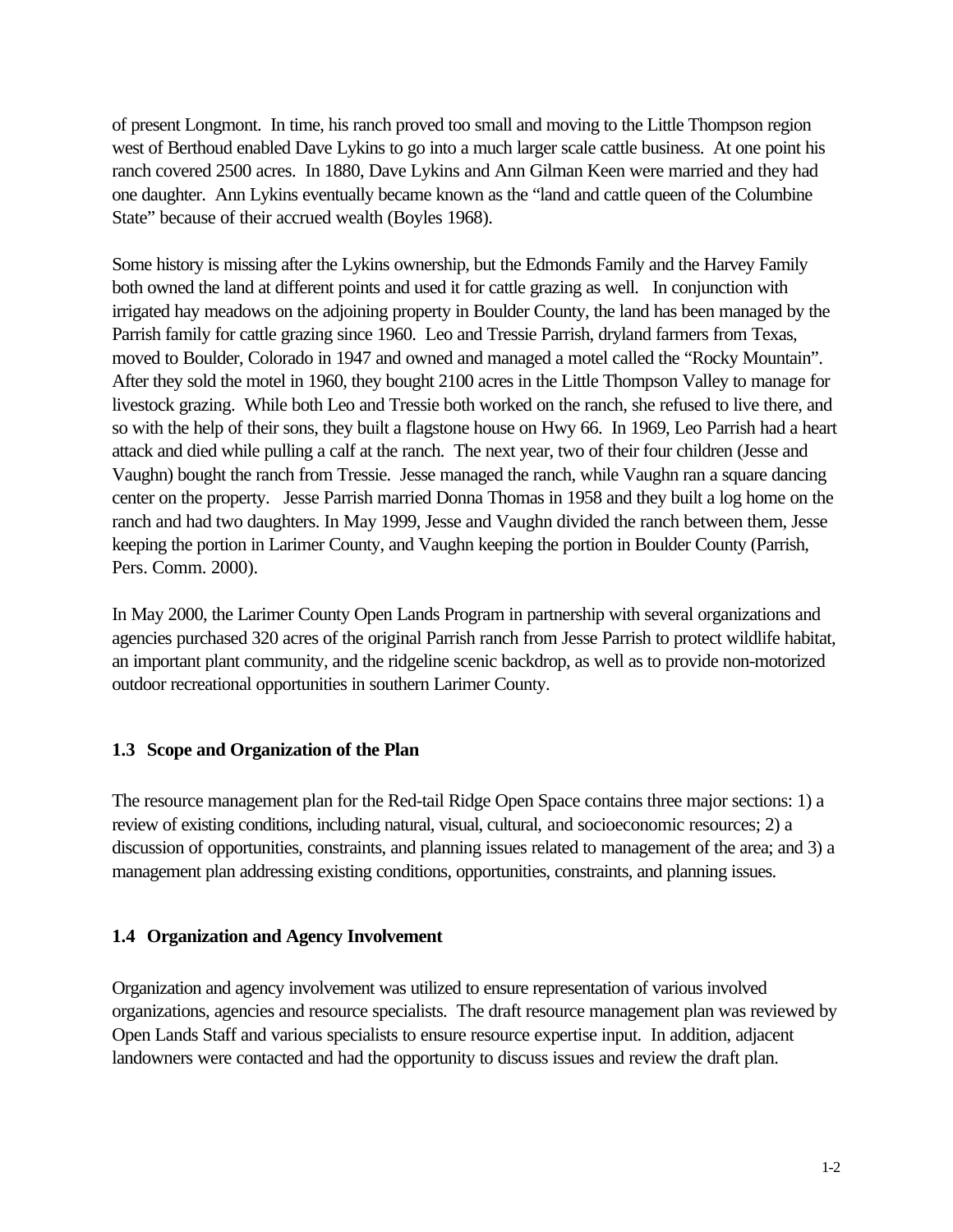of present Longmont. In time, his ranch proved too small and moving to the Little Thompson region west of Berthoud enabled Dave Lykins to go into a much larger scale cattle business. At one point his ranch covered 2500 acres. In 1880, Dave Lykins and Ann Gilman Keen were married and they had one daughter. Ann Lykins eventually became known as the "land and cattle queen of the Columbine State" because of their accrued wealth (Boyles 1968).

Some history is missing after the Lykins ownership, but the Edmonds Family and the Harvey Family both owned the land at different points and used it for cattle grazing as well. In conjunction with irrigated hay meadows on the adjoining property in Boulder County, the land has been managed by the Parrish family for cattle grazing since 1960. Leo and Tressie Parrish, dryland farmers from Texas, moved to Boulder, Colorado in 1947 and owned and managed a motel called the "Rocky Mountain". After they sold the motel in 1960, they bought 2100 acres in the Little Thompson Valley to manage for livestock grazing. While both Leo and Tressie both worked on the ranch, she refused to live there, and so with the help of their sons, they built a flagstone house on Hwy 66. In 1969, Leo Parrish had a heart attack and died while pulling a calf at the ranch. The next year, two of their four children (Jesse and Vaughn) bought the ranch from Tressie. Jesse managed the ranch, while Vaughn ran a square dancing center on the property. Jesse Parrish married Donna Thomas in 1958 and they built a log home on the ranch and had two daughters. In May 1999, Jesse and Vaughn divided the ranch between them, Jesse keeping the portion in Larimer County, and Vaughn keeping the portion in Boulder County (Parrish, Pers. Comm. 2000).

In May 2000, the Larimer County Open Lands Program in partnership with several organizations and agencies purchased 320 acres of the original Parrish ranch from Jesse Parrish to protect wildlife habitat, an important plant community, and the ridgeline scenic backdrop, as well as to provide non-motorized outdoor recreational opportunities in southern Larimer County.

#### **1.3 Scope and Organization of the Plan**

The resource management plan for the Red-tail Ridge Open Space contains three major sections: 1) a review of existing conditions, including natural, visual, cultural, and socioeconomic resources; 2) a discussion of opportunities, constraints, and planning issues related to management of the area; and 3) a management plan addressing existing conditions, opportunities, constraints, and planning issues.

#### **1.4 Organization and Agency Involvement**

Organization and agency involvement was utilized to ensure representation of various involved organizations, agencies and resource specialists. The draft resource management plan was reviewed by Open Lands Staff and various specialists to ensure resource expertise input. In addition, adjacent landowners were contacted and had the opportunity to discuss issues and review the draft plan.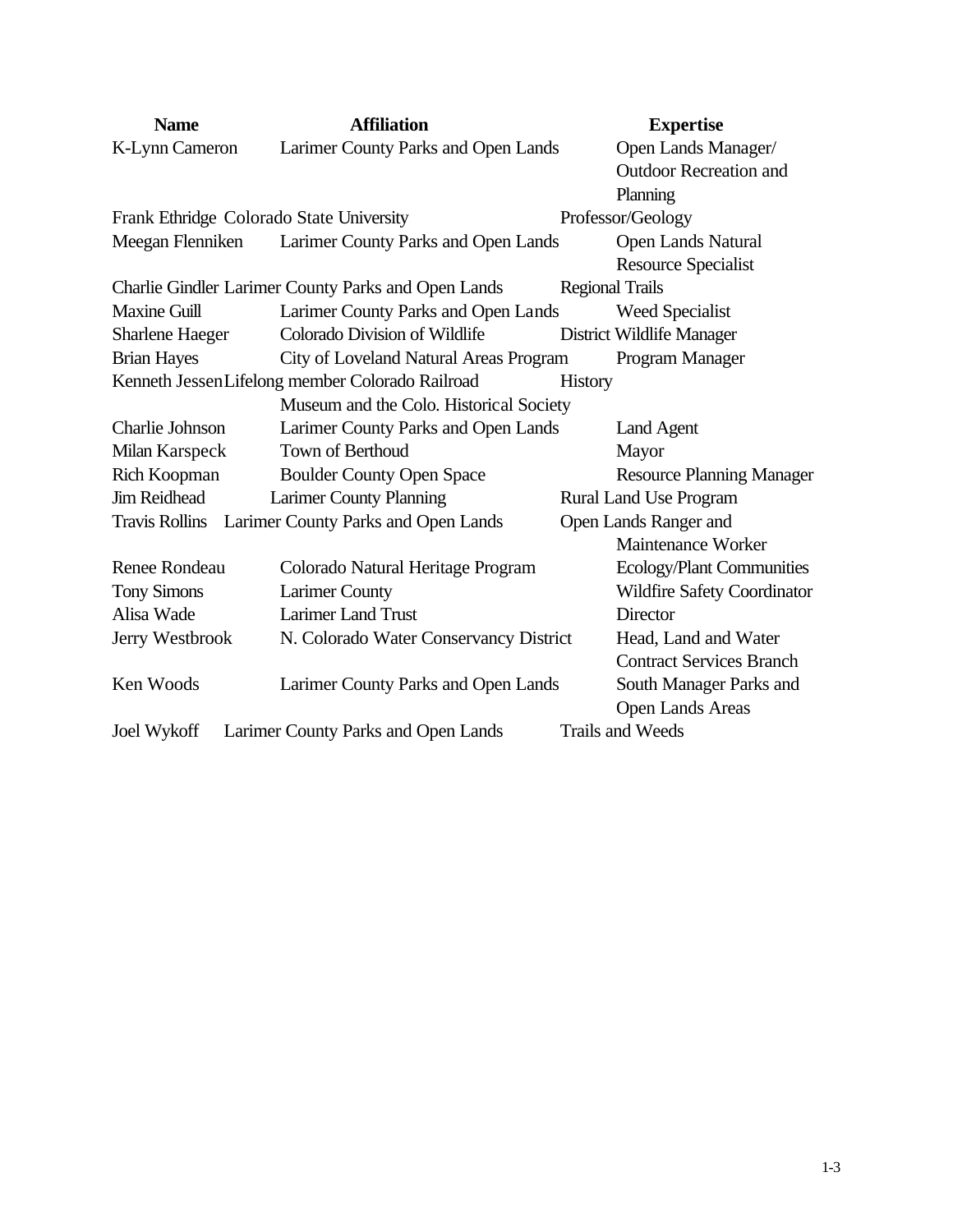| <b>Name</b>            | <b>Affiliation</b>                                  | <b>Expertise</b>                 |
|------------------------|-----------------------------------------------------|----------------------------------|
| K-Lynn Cameron         | Larimer County Parks and Open Lands                 | Open Lands Manager/              |
|                        |                                                     | <b>Outdoor Recreation and</b>    |
|                        |                                                     | Planning                         |
|                        | Frank Ethridge Colorado State University            | Professor/Geology                |
| Meegan Flenniken       | Larimer County Parks and Open Lands                 | Open Lands Natural               |
|                        |                                                     | <b>Resource Specialist</b>       |
|                        | Charlie Gindler Larimer County Parks and Open Lands | <b>Regional Trails</b>           |
| <b>Maxine Guill</b>    | Larimer County Parks and Open Lands                 | <b>Weed Specialist</b>           |
| <b>Sharlene Haeger</b> | <b>Colorado Division of Wildlife</b>                | District Wildlife Manager        |
| <b>Brian Hayes</b>     | City of Loveland Natural Areas Program              | Program Manager                  |
|                        | Kenneth Jessen Lifelong member Colorado Railroad    | History                          |
|                        | Museum and the Colo. Historical Society             |                                  |
| Charlie Johnson        | Larimer County Parks and Open Lands                 | Land Agent                       |
| Milan Karspeck         | <b>Town of Berthoud</b>                             | Mayor                            |
| Rich Koopman           | <b>Boulder County Open Space</b>                    | <b>Resource Planning Manager</b> |
| <b>Jim Reidhead</b>    | <b>Larimer County Planning</b>                      | <b>Rural Land Use Program</b>    |
|                        | Travis Rollins Larimer County Parks and Open Lands  | Open Lands Ranger and            |
|                        |                                                     | Maintenance Worker               |
| <b>Renee Rondeau</b>   | Colorado Natural Heritage Program                   | Ecology/Plant Communities        |
| <b>Tony Simons</b>     | <b>Larimer County</b>                               | Wildfire Safety Coordinator      |
| Alisa Wade             | <b>Larimer Land Trust</b>                           | Director                         |
| Jerry Westbrook        | N. Colorado Water Conservancy District              | Head, Land and Water             |
|                        |                                                     | <b>Contract Services Branch</b>  |
| Ken Woods              | Larimer County Parks and Open Lands                 | South Manager Parks and          |
|                        |                                                     | <b>Open Lands Areas</b>          |
| <b>Joel Wykoff</b>     | Larimer County Parks and Open Lands                 | <b>Trails and Weeds</b>          |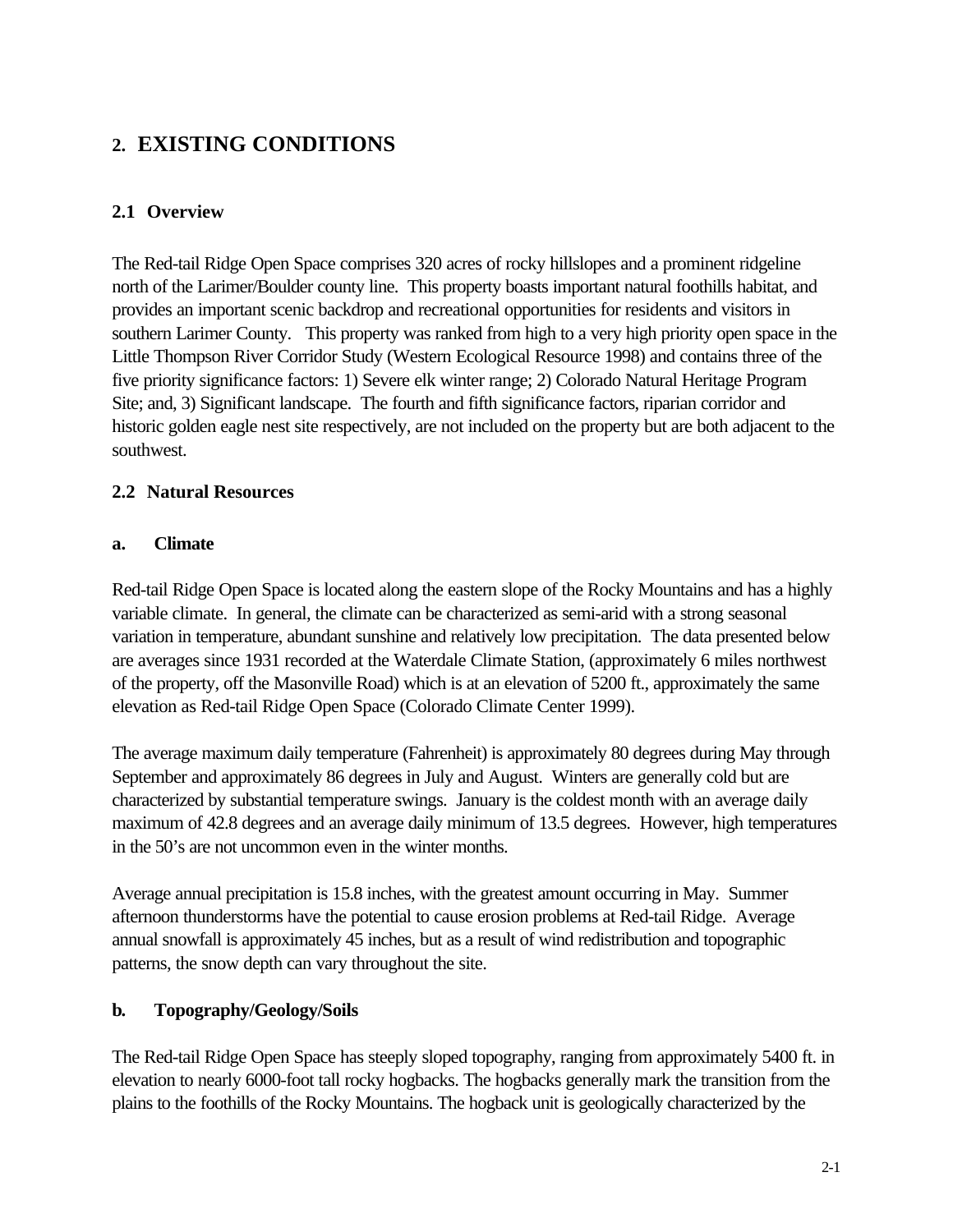## **2. EXISTING CONDITIONS**

## **2.1 Overview**

The Red-tail Ridge Open Space comprises 320 acres of rocky hillslopes and a prominent ridgeline north of the Larimer/Boulder county line. This property boasts important natural foothills habitat, and provides an important scenic backdrop and recreational opportunities for residents and visitors in southern Larimer County. This property was ranked from high to a very high priority open space in the Little Thompson River Corridor Study (Western Ecological Resource 1998) and contains three of the five priority significance factors: 1) Severe elk winter range; 2) Colorado Natural Heritage Program Site; and, 3) Significant landscape. The fourth and fifth significance factors, riparian corridor and historic golden eagle nest site respectively, are not included on the property but are both adjacent to the southwest.

## **2.2 Natural Resources**

#### **a. Climate**

Red-tail Ridge Open Space is located along the eastern slope of the Rocky Mountains and has a highly variable climate. In general, the climate can be characterized as semi-arid with a strong seasonal variation in temperature, abundant sunshine and relatively low precipitation. The data presented below are averages since 1931 recorded at the Waterdale Climate Station, (approximately 6 miles northwest of the property, off the Masonville Road) which is at an elevation of 5200 ft., approximately the same elevation as Red-tail Ridge Open Space (Colorado Climate Center 1999).

The average maximum daily temperature (Fahrenheit) is approximately 80 degrees during May through September and approximately 86 degrees in July and August. Winters are generally cold but are characterized by substantial temperature swings. January is the coldest month with an average daily maximum of 42.8 degrees and an average daily minimum of 13.5 degrees. However, high temperatures in the 50's are not uncommon even in the winter months.

Average annual precipitation is 15.8 inches, with the greatest amount occurring in May. Summer afternoon thunderstorms have the potential to cause erosion problems at Red-tail Ridge. Average annual snowfall is approximately 45 inches, but as a result of wind redistribution and topographic patterns, the snow depth can vary throughout the site.

#### **b. Topography/Geology/Soils**

The Red-tail Ridge Open Space has steeply sloped topography, ranging from approximately 5400 ft. in elevation to nearly 6000-foot tall rocky hogbacks. The hogbacks generally mark the transition from the plains to the foothills of the Rocky Mountains. The hogback unit is geologically characterized by the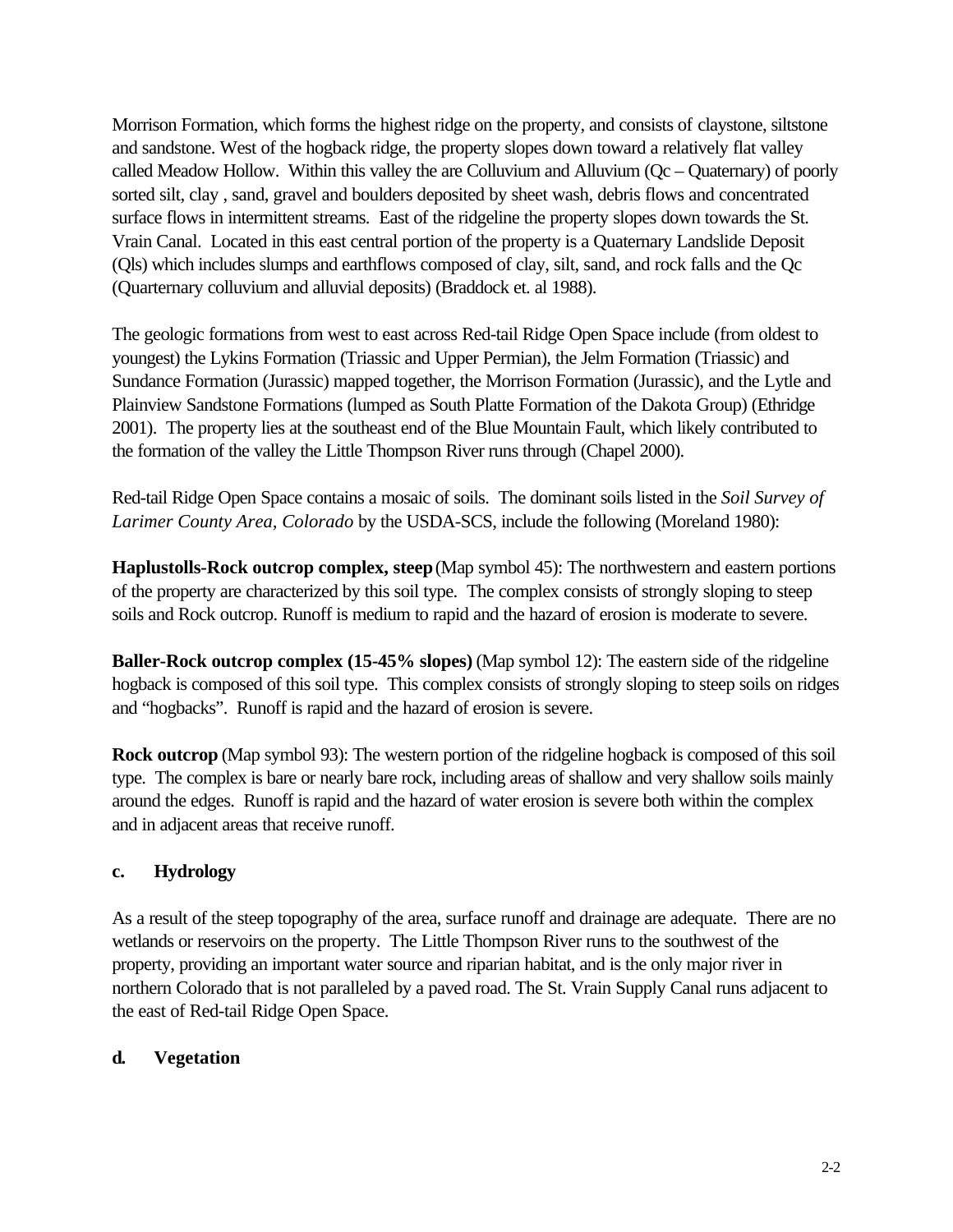Morrison Formation, which forms the highest ridge on the property, and consists of claystone, siltstone and sandstone. West of the hogback ridge, the property slopes down toward a relatively flat valley called Meadow Hollow. Within this valley the are Colluvium and Alluvium (Qc – Quaternary) of poorly sorted silt, clay , sand, gravel and boulders deposited by sheet wash, debris flows and concentrated surface flows in intermittent streams. East of the ridgeline the property slopes down towards the St. Vrain Canal. Located in this east central portion of the property is a Quaternary Landslide Deposit (Qls) which includes slumps and earthflows composed of clay, silt, sand, and rock falls and the Qc (Quarternary colluvium and alluvial deposits) (Braddock et. al 1988).

The geologic formations from west to east across Red-tail Ridge Open Space include (from oldest to youngest) the Lykins Formation (Triassic and Upper Permian), the Jelm Formation (Triassic) and Sundance Formation (Jurassic) mapped together, the Morrison Formation (Jurassic), and the Lytle and Plainview Sandstone Formations (lumped as South Platte Formation of the Dakota Group) (Ethridge 2001). The property lies at the southeast end of the Blue Mountain Fault, which likely contributed to the formation of the valley the Little Thompson River runs through (Chapel 2000).

Red-tail Ridge Open Space contains a mosaic of soils. The dominant soils listed in the *Soil Survey of Larimer County Area, Colorado* by the USDA-SCS, include the following (Moreland 1980):

**Haplustolls-Rock outcrop complex, steep** (Map symbol 45): The northwestern and eastern portions of the property are characterized by this soil type. The complex consists of strongly sloping to steep soils and Rock outcrop. Runoff is medium to rapid and the hazard of erosion is moderate to severe.

**Baller-Rock outcrop complex (15-45% slopes)** (Map symbol 12): The eastern side of the ridgeline hogback is composed of this soil type. This complex consists of strongly sloping to steep soils on ridges and "hogbacks". Runoff is rapid and the hazard of erosion is severe.

**Rock outcrop** (Map symbol 93): The western portion of the ridgeline hogback is composed of this soil type. The complex is bare or nearly bare rock, including areas of shallow and very shallow soils mainly around the edges. Runoff is rapid and the hazard of water erosion is severe both within the complex and in adjacent areas that receive runoff.

#### **c. Hydrology**

As a result of the steep topography of the area, surface runoff and drainage are adequate. There are no wetlands or reservoirs on the property. The Little Thompson River runs to the southwest of the property, providing an important water source and riparian habitat, and is the only major river in northern Colorado that is not paralleled by a paved road. The St. Vrain Supply Canal runs adjacent to the east of Red-tail Ridge Open Space.

#### **d. Vegetation**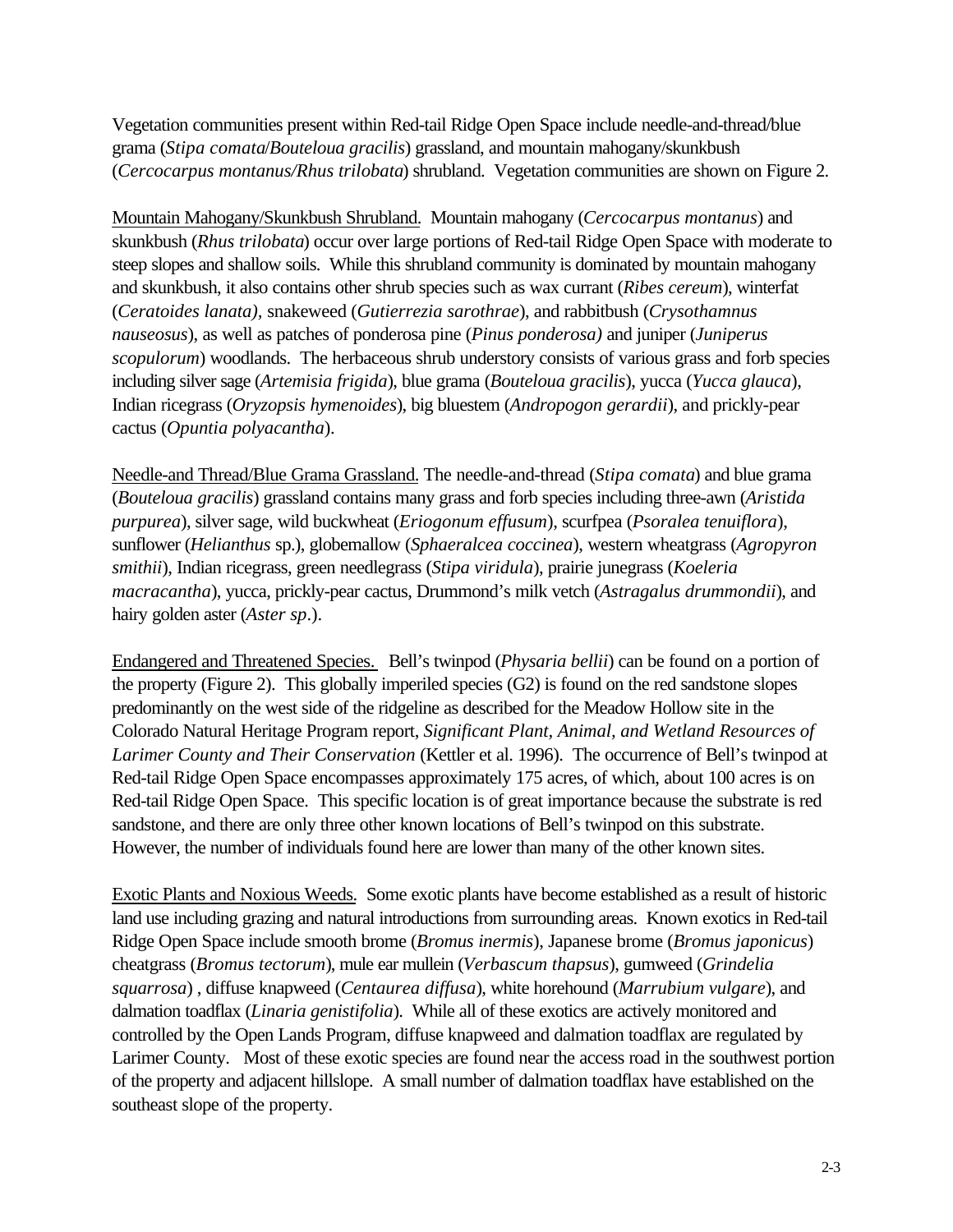Vegetation communities present within Red-tail Ridge Open Space include needle-and-thread/blue grama (*Stipa comata*/*Bouteloua gracilis*) grassland, and mountain mahogany/skunkbush (*Cercocarpus montanus/Rhus trilobata*) shrubland. Vegetation communities are shown on Figure 2.

Mountain Mahogany/Skunkbush Shrubland. Mountain mahogany (*Cercocarpus montanus*) and skunkbush (*Rhus trilobata*) occur over large portions of Red-tail Ridge Open Space with moderate to steep slopes and shallow soils. While this shrubland community is dominated by mountain mahogany and skunkbush, it also contains other shrub species such as wax currant (*Ribes cereum*), winterfat (*Ceratoides lanata),* snakeweed (*Gutierrezia sarothrae*), and rabbitbush (*Crysothamnus nauseosus*), as well as patches of ponderosa pine (*Pinus ponderosa)* and juniper (*Juniperus scopulorum*) woodlands. The herbaceous shrub understory consists of various grass and forb species including silver sage (*Artemisia frigida*), blue grama (*Bouteloua gracilis*), yucca (*Yucca glauca*), Indian ricegrass (*Oryzopsis hymenoides*), big bluestem (*Andropogon gerardii*), and prickly-pear cactus (*Opuntia polyacantha*).

Needle-and Thread/Blue Grama Grassland. The needle-and-thread (*Stipa comata*) and blue grama (*Bouteloua gracilis*) grassland contains many grass and forb species including three-awn (*Aristida purpurea*), silver sage, wild buckwheat (*Eriogonum effusum*), scurfpea (*Psoralea tenuiflora*), sunflower (*Helianthus* sp.), globemallow (*Sphaeralcea coccinea*), western wheatgrass (*Agropyron smithii*), Indian ricegrass, green needlegrass (*Stipa viridula*), prairie junegrass (*Koeleria macracantha*), yucca, prickly-pear cactus, Drummond's milk vetch (*Astragalus drummondii*), and hairy golden aster (*Aster sp*.).

Endangered and Threatened Species. Bell's twinpod (*Physaria bellii*) can be found on a portion of the property (Figure 2). This globally imperiled species (G2) is found on the red sandstone slopes predominantly on the west side of the ridgeline as described for the Meadow Hollow site in the Colorado Natural Heritage Program report, *Significant Plant, Animal, and Wetland Resources of Larimer County and Their Conservation* (Kettler et al. 1996). The occurrence of Bell's twinpod at Red-tail Ridge Open Space encompasses approximately 175 acres, of which, about 100 acres is on Red-tail Ridge Open Space. This specific location is of great importance because the substrate is red sandstone, and there are only three other known locations of Bell's twinpod on this substrate. However, the number of individuals found here are lower than many of the other known sites.

Exotic Plants and Noxious Weeds. Some exotic plants have become established as a result of historic land use including grazing and natural introductions from surrounding areas. Known exotics in Red-tail Ridge Open Space include smooth brome (*Bromus inermis*), Japanese brome (*Bromus japonicus*) cheatgrass (*Bromus tectorum*), mule ear mullein (*Verbascum thapsus*), gumweed (*Grindelia squarrosa*) , diffuse knapweed (*Centaurea diffusa*), white horehound (*Marrubium vulgare*), and dalmation toadflax (*Linaria genistifolia*). While all of these exotics are actively monitored and controlled by the Open Lands Program, diffuse knapweed and dalmation toadflax are regulated by Larimer County. Most of these exotic species are found near the access road in the southwest portion of the property and adjacent hillslope. A small number of dalmation toadflax have established on the southeast slope of the property.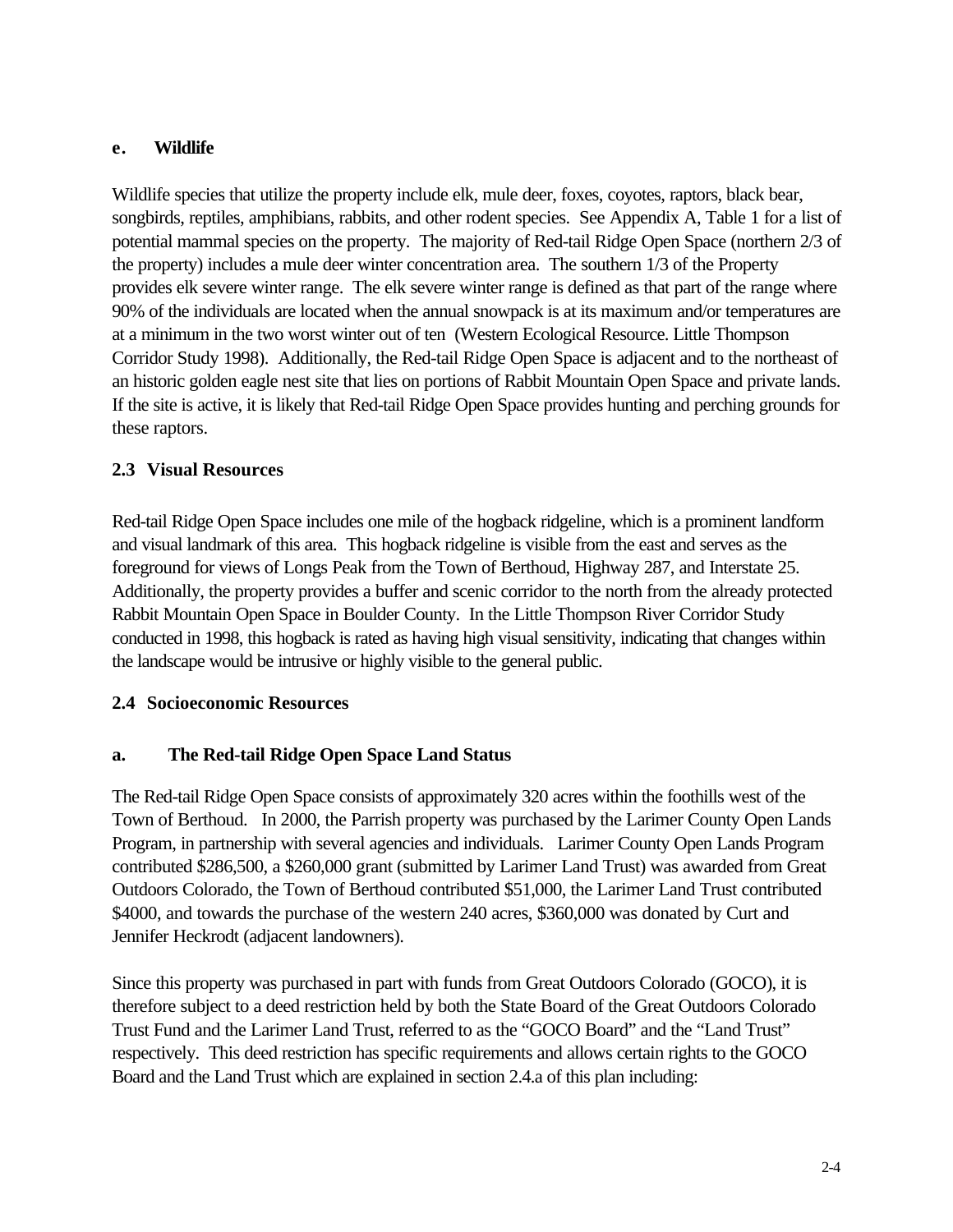### **e. Wildlife**

Wildlife species that utilize the property include elk, mule deer, foxes, coyotes, raptors, black bear, songbirds, reptiles, amphibians, rabbits, and other rodent species. See Appendix A, Table 1 for a list of potential mammal species on the property. The majority of Red-tail Ridge Open Space (northern 2/3 of the property) includes a mule deer winter concentration area. The southern 1/3 of the Property provides elk severe winter range. The elk severe winter range is defined as that part of the range where 90% of the individuals are located when the annual snowpack is at its maximum and/or temperatures are at a minimum in the two worst winter out of ten (Western Ecological Resource. Little Thompson Corridor Study 1998). Additionally, the Red-tail Ridge Open Space is adjacent and to the northeast of an historic golden eagle nest site that lies on portions of Rabbit Mountain Open Space and private lands. If the site is active, it is likely that Red-tail Ridge Open Space provides hunting and perching grounds for these raptors.

## **2.3 Visual Resources**

Red-tail Ridge Open Space includes one mile of the hogback ridgeline, which is a prominent landform and visual landmark of this area. This hogback ridgeline is visible from the east and serves as the foreground for views of Longs Peak from the Town of Berthoud, Highway 287, and Interstate 25. Additionally, the property provides a buffer and scenic corridor to the north from the already protected Rabbit Mountain Open Space in Boulder County. In the Little Thompson River Corridor Study conducted in 1998, this hogback is rated as having high visual sensitivity, indicating that changes within the landscape would be intrusive or highly visible to the general public.

#### **2.4 Socioeconomic Resources**

#### **a. The Red-tail Ridge Open Space Land Status**

The Red-tail Ridge Open Space consists of approximately 320 acres within the foothills west of the Town of Berthoud. In 2000, the Parrish property was purchased by the Larimer County Open Lands Program, in partnership with several agencies and individuals. Larimer County Open Lands Program contributed \$286,500, a \$260,000 grant (submitted by Larimer Land Trust) was awarded from Great Outdoors Colorado, the Town of Berthoud contributed \$51,000, the Larimer Land Trust contributed \$4000, and towards the purchase of the western 240 acres, \$360,000 was donated by Curt and Jennifer Heckrodt (adjacent landowners).

Since this property was purchased in part with funds from Great Outdoors Colorado (GOCO), it is therefore subject to a deed restriction held by both the State Board of the Great Outdoors Colorado Trust Fund and the Larimer Land Trust, referred to as the "GOCO Board" and the "Land Trust" respectively. This deed restriction has specific requirements and allows certain rights to the GOCO Board and the Land Trust which are explained in section 2.4.a of this plan including: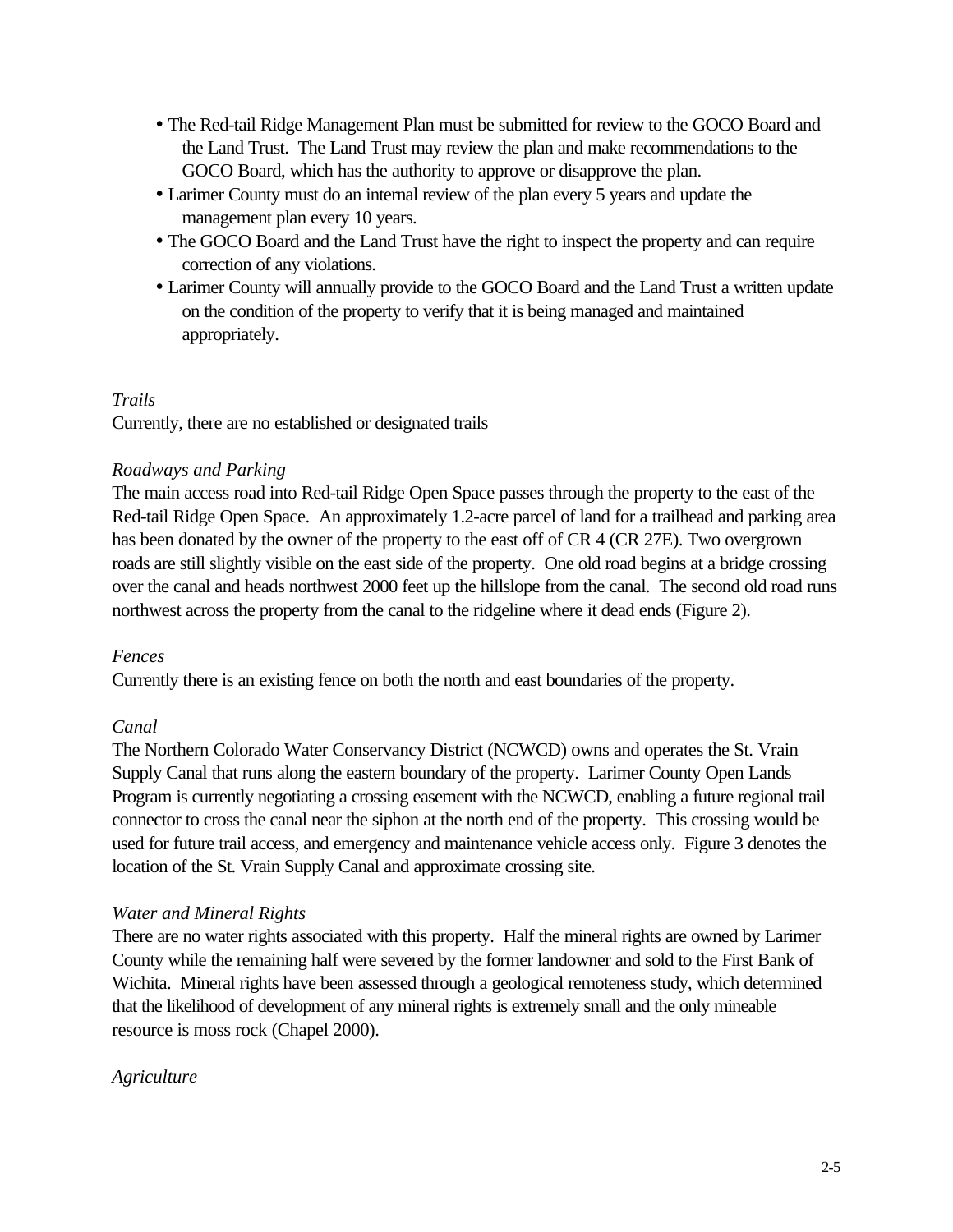- The Red-tail Ridge Management Plan must be submitted for review to the GOCO Board and the Land Trust. The Land Trust may review the plan and make recommendations to the GOCO Board, which has the authority to approve or disapprove the plan.
- Larimer County must do an internal review of the plan every 5 years and update the management plan every 10 years.
- The GOCO Board and the Land Trust have the right to inspect the property and can require correction of any violations.
- Larimer County will annually provide to the GOCO Board and the Land Trust a written update on the condition of the property to verify that it is being managed and maintained appropriately.

#### *Trails*

Currently, there are no established or designated trails

#### *Roadways and Parking*

The main access road into Red-tail Ridge Open Space passes through the property to the east of the Red-tail Ridge Open Space. An approximately 1.2-acre parcel of land for a trailhead and parking area has been donated by the owner of the property to the east off of CR 4 (CR 27E). Two overgrown roads are still slightly visible on the east side of the property. One old road begins at a bridge crossing over the canal and heads northwest 2000 feet up the hillslope from the canal. The second old road runs northwest across the property from the canal to the ridgeline where it dead ends (Figure 2).

#### *Fences*

Currently there is an existing fence on both the north and east boundaries of the property.

#### *Canal*

The Northern Colorado Water Conservancy District (NCWCD) owns and operates the St. Vrain Supply Canal that runs along the eastern boundary of the property. Larimer County Open Lands Program is currently negotiating a crossing easement with the NCWCD, enabling a future regional trail connector to cross the canal near the siphon at the north end of the property. This crossing would be used for future trail access, and emergency and maintenance vehicle access only. Figure 3 denotes the location of the St. Vrain Supply Canal and approximate crossing site.

#### *Water and Mineral Rights*

There are no water rights associated with this property. Half the mineral rights are owned by Larimer County while the remaining half were severed by the former landowner and sold to the First Bank of Wichita. Mineral rights have been assessed through a geological remoteness study, which determined that the likelihood of development of any mineral rights is extremely small and the only mineable resource is moss rock (Chapel 2000).

#### *Agriculture*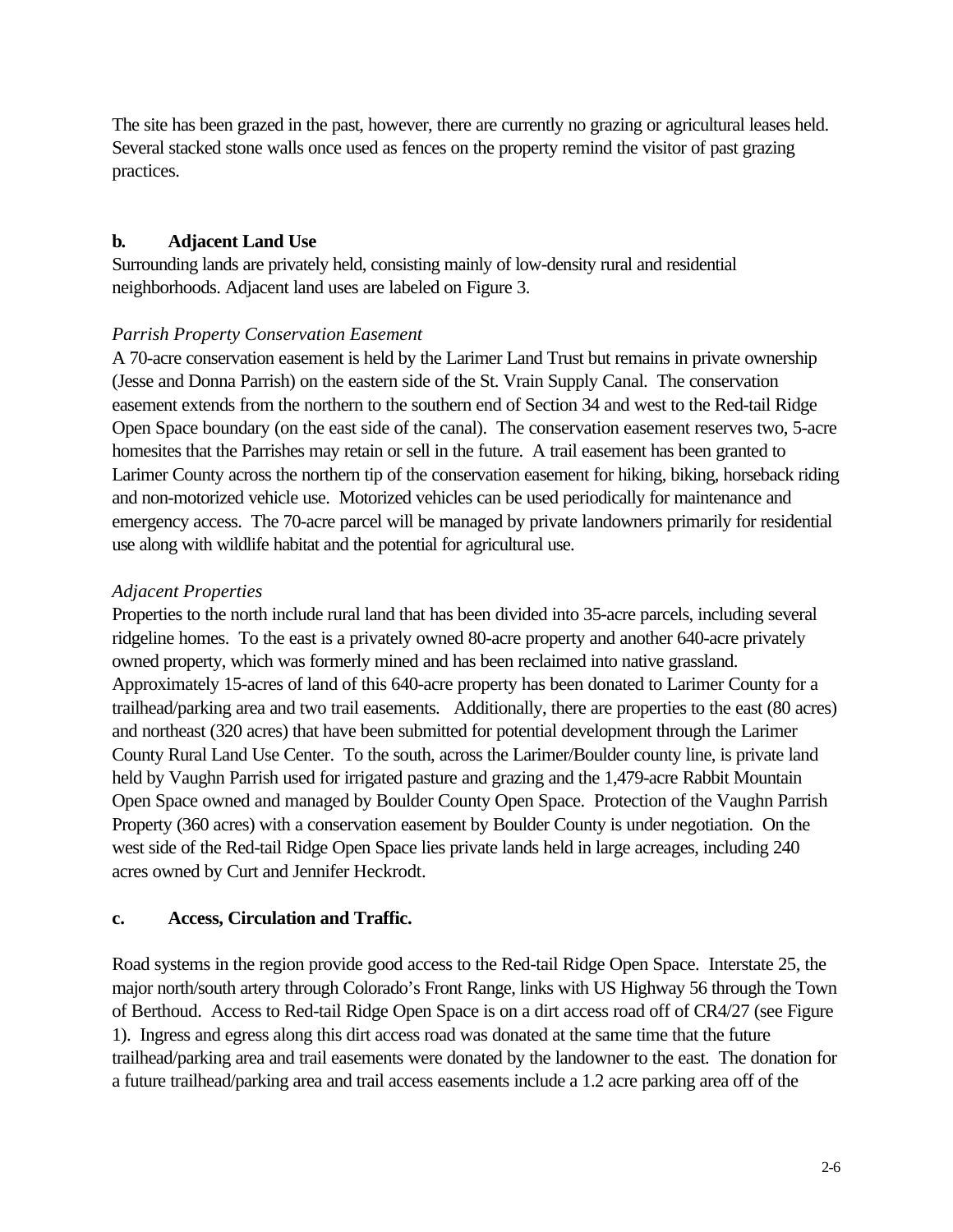The site has been grazed in the past, however, there are currently no grazing or agricultural leases held. Several stacked stone walls once used as fences on the property remind the visitor of past grazing practices.

#### **b. Adjacent Land Use**

Surrounding lands are privately held, consisting mainly of low-density rural and residential neighborhoods. Adjacent land uses are labeled on Figure 3.

#### *Parrish Property Conservation Easement*

A 70-acre conservation easement is held by the Larimer Land Trust but remains in private ownership (Jesse and Donna Parrish) on the eastern side of the St. Vrain Supply Canal. The conservation easement extends from the northern to the southern end of Section 34 and west to the Red-tail Ridge Open Space boundary (on the east side of the canal). The conservation easement reserves two, 5-acre homesites that the Parrishes may retain or sell in the future. A trail easement has been granted to Larimer County across the northern tip of the conservation easement for hiking, biking, horseback riding and non-motorized vehicle use. Motorized vehicles can be used periodically for maintenance and emergency access. The 70-acre parcel will be managed by private landowners primarily for residential use along with wildlife habitat and the potential for agricultural use.

#### *Adjacent Properties*

Properties to the north include rural land that has been divided into 35-acre parcels, including several ridgeline homes. To the east is a privately owned 80-acre property and another 640-acre privately owned property, which was formerly mined and has been reclaimed into native grassland. Approximately 15-acres of land of this 640-acre property has been donated to Larimer County for a trailhead/parking area and two trail easements. Additionally, there are properties to the east (80 acres) and northeast (320 acres) that have been submitted for potential development through the Larimer County Rural Land Use Center. To the south, across the Larimer/Boulder county line, is private land held by Vaughn Parrish used for irrigated pasture and grazing and the 1,479-acre Rabbit Mountain Open Space owned and managed by Boulder County Open Space. Protection of the Vaughn Parrish Property (360 acres) with a conservation easement by Boulder County is under negotiation. On the west side of the Red-tail Ridge Open Space lies private lands held in large acreages, including 240 acres owned by Curt and Jennifer Heckrodt.

#### **c. Access, Circulation and Traffic.**

Road systems in the region provide good access to the Red-tail Ridge Open Space. Interstate 25, the major north/south artery through Colorado's Front Range, links with US Highway 56 through the Town of Berthoud. Access to Red-tail Ridge Open Space is on a dirt access road off of CR4/27 (see Figure 1). Ingress and egress along this dirt access road was donated at the same time that the future trailhead/parking area and trail easements were donated by the landowner to the east. The donation for a future trailhead/parking area and trail access easements include a 1.2 acre parking area off of the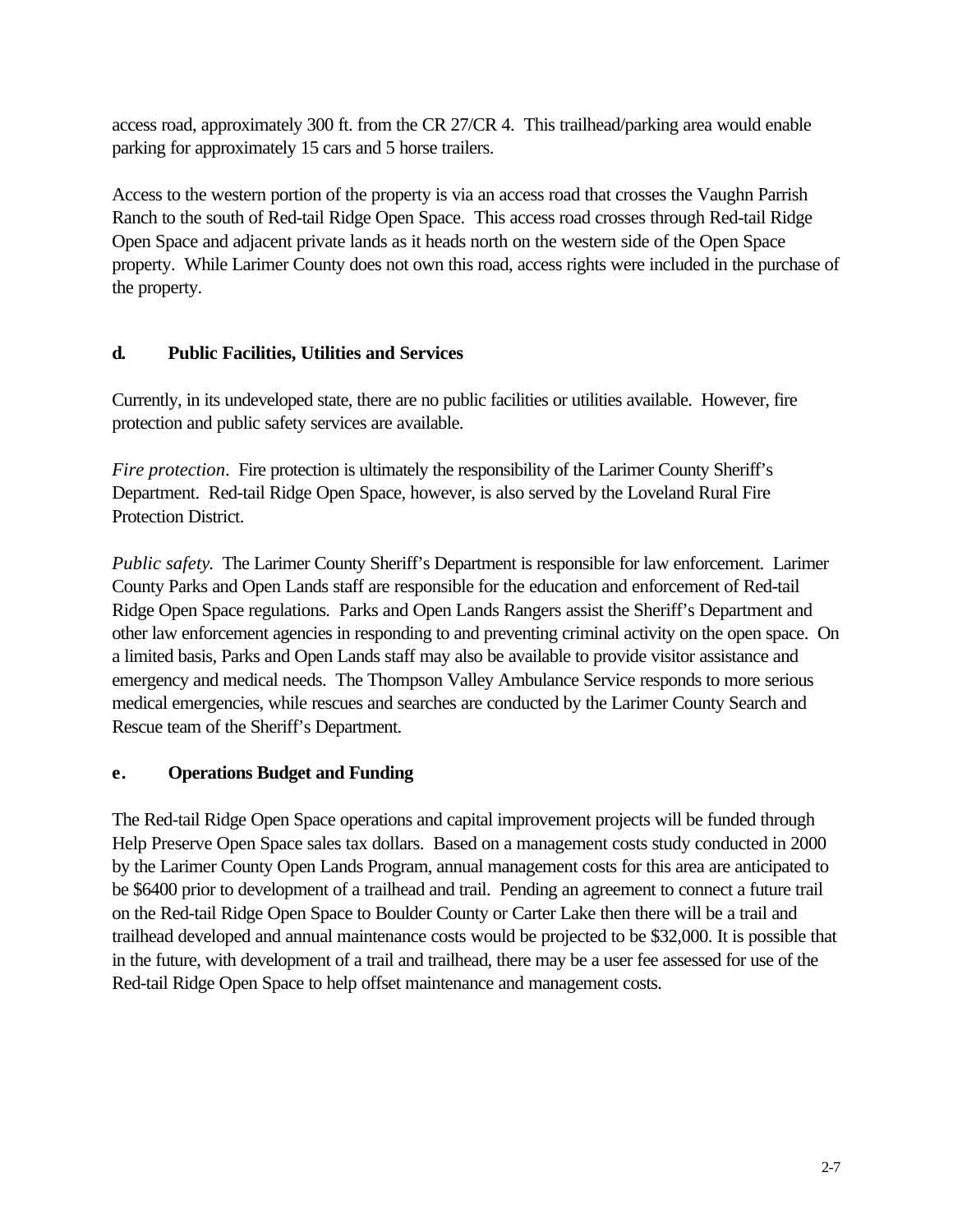access road, approximately 300 ft. from the CR 27/CR 4. This trailhead/parking area would enable parking for approximately 15 cars and 5 horse trailers.

Access to the western portion of the property is via an access road that crosses the Vaughn Parrish Ranch to the south of Red-tail Ridge Open Space. This access road crosses through Red-tail Ridge Open Space and adjacent private lands as it heads north on the western side of the Open Space property. While Larimer County does not own this road, access rights were included in the purchase of the property.

## **d. Public Facilities, Utilities and Services**

Currently, in its undeveloped state, there are no public facilities or utilities available. However, fire protection and public safety services are available.

*Fire protection.* Fire protection is ultimately the responsibility of the Larimer County Sheriff's Department. Red-tail Ridge Open Space, however, is also served by the Loveland Rural Fire Protection District.

*Public safety*. The Larimer County Sheriff's Department is responsible for law enforcement. Larimer County Parks and Open Lands staff are responsible for the education and enforcement of Red-tail Ridge Open Space regulations. Parks and Open Lands Rangers assist the Sheriff's Department and other law enforcement agencies in responding to and preventing criminal activity on the open space. On a limited basis, Parks and Open Lands staff may also be available to provide visitor assistance and emergency and medical needs. The Thompson Valley Ambulance Service responds to more serious medical emergencies, while rescues and searches are conducted by the Larimer County Search and Rescue team of the Sheriff's Department.

## **e. Operations Budget and Funding**

The Red-tail Ridge Open Space operations and capital improvement projects will be funded through Help Preserve Open Space sales tax dollars. Based on a management costs study conducted in 2000 by the Larimer County Open Lands Program, annual management costs for this area are anticipated to be \$6400 prior to development of a trailhead and trail. Pending an agreement to connect a future trail on the Red-tail Ridge Open Space to Boulder County or Carter Lake then there will be a trail and trailhead developed and annual maintenance costs would be projected to be \$32,000. It is possible that in the future, with development of a trail and trailhead, there may be a user fee assessed for use of the Red-tail Ridge Open Space to help offset maintenance and management costs.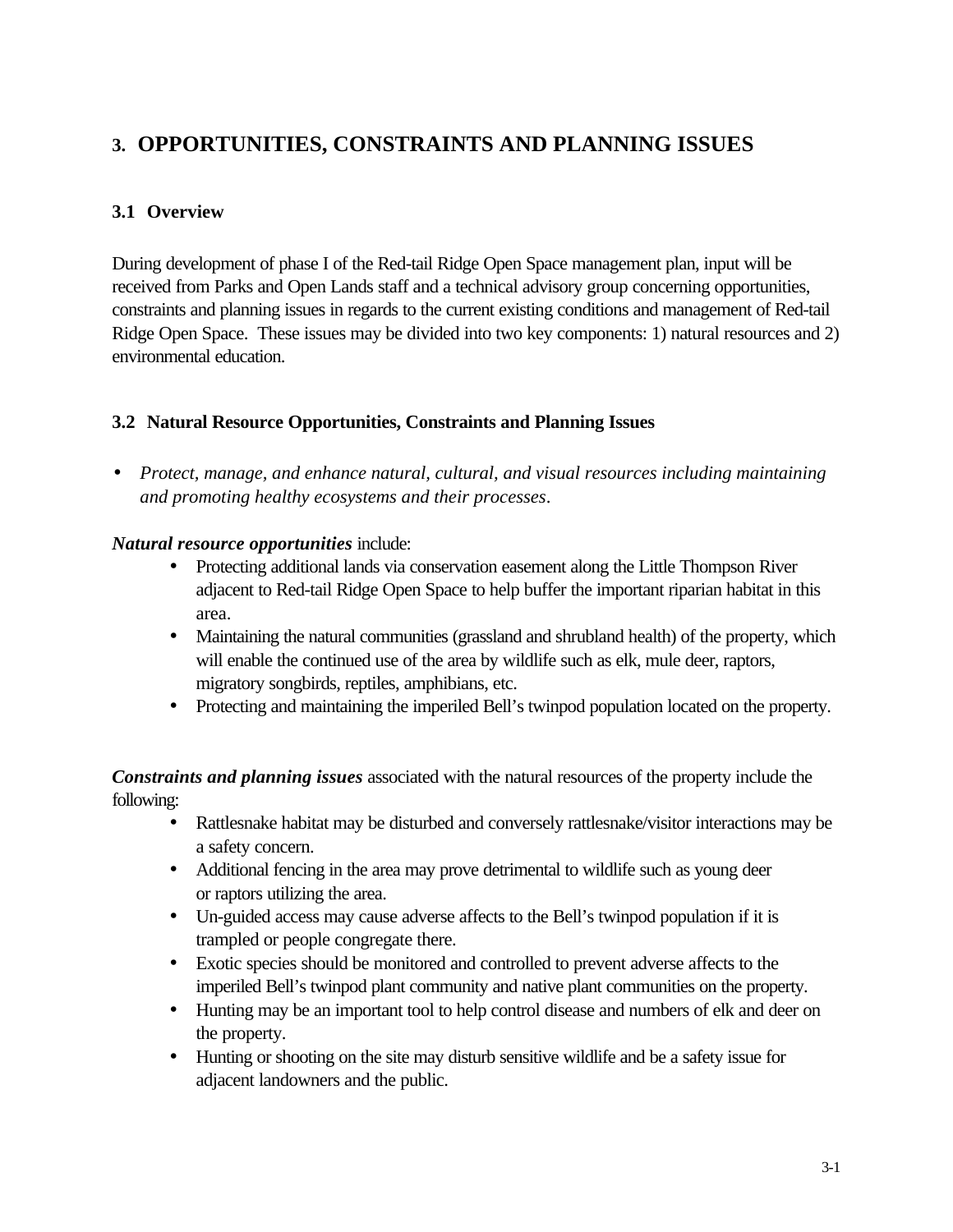## **3. OPPORTUNITIES, CONSTRAINTS AND PLANNING ISSUES**

## **3.1 Overview**

During development of phase I of the Red-tail Ridge Open Space management plan, input will be received from Parks and Open Lands staff and a technical advisory group concerning opportunities, constraints and planning issues in regards to the current existing conditions and management of Red-tail Ridge Open Space. These issues may be divided into two key components: 1) natural resources and 2) environmental education.

#### **3.2 Natural Resource Opportunities, Constraints and Planning Issues**

• *Protect, manage, and enhance natural, cultural, and visual resources including maintaining and promoting healthy ecosystems and their processes*.

#### *Natural resource opportunities* include:

- Protecting additional lands via conservation easement along the Little Thompson River adjacent to Red-tail Ridge Open Space to help buffer the important riparian habitat in this area.
- Maintaining the natural communities (grassland and shrubland health) of the property, which will enable the continued use of the area by wildlife such as elk, mule deer, raptors, migratory songbirds, reptiles, amphibians, etc.
- Protecting and maintaining the imperiled Bell's twinpod population located on the property.

*Constraints and planning issues* associated with the natural resources of the property include the following:

- Rattlesnake habitat may be disturbed and conversely rattlesnake/visitor interactions may be a safety concern.
- Additional fencing in the area may prove detrimental to wildlife such as young deer or raptors utilizing the area.
- Un-guided access may cause adverse affects to the Bell's twinpod population if it is trampled or people congregate there.
- Exotic species should be monitored and controlled to prevent adverse affects to the imperiled Bell's twinpod plant community and native plant communities on the property.
- Hunting may be an important tool to help control disease and numbers of elk and deer on the property.
- Hunting or shooting on the site may disturb sensitive wildlife and be a safety issue for adjacent landowners and the public.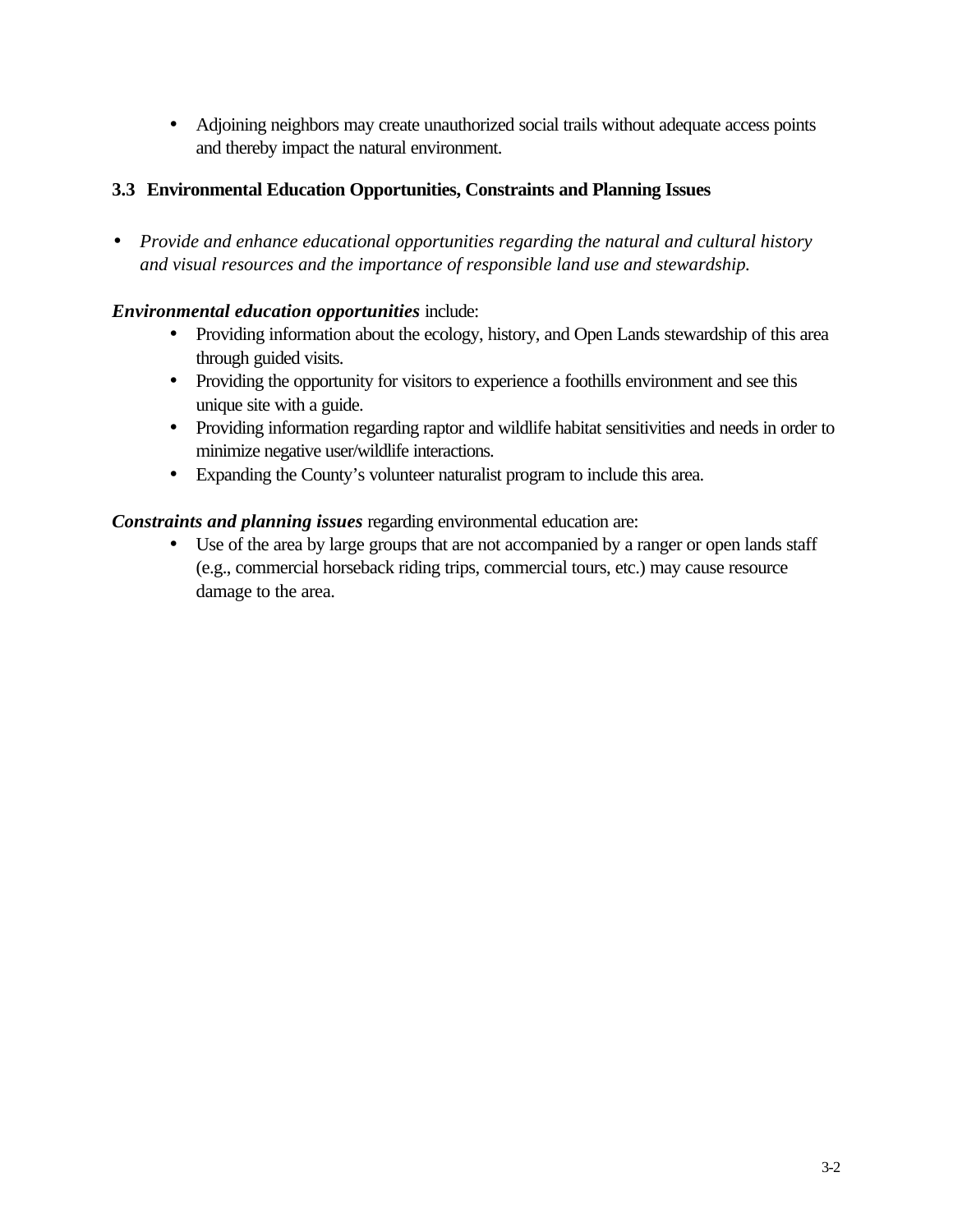• Adjoining neighbors may create unauthorized social trails without adequate access points and thereby impact the natural environment.

## **3.3 Environmental Education Opportunities, Constraints and Planning Issues**

• *Provide and enhance educational opportunities regarding the natural and cultural history and visual resources and the importance of responsible land use and stewardship.*

## *Environmental education opportunities* include:

- Providing information about the ecology, history, and Open Lands stewardship of this area through guided visits.
- Providing the opportunity for visitors to experience a foothills environment and see this unique site with a guide.
- Providing information regarding raptor and wildlife habitat sensitivities and needs in order to minimize negative user/wildlife interactions.
- Expanding the County's volunteer naturalist program to include this area.

*Constraints and planning issues* regarding environmental education are:

• Use of the area by large groups that are not accompanied by a ranger or open lands staff (e.g., commercial horseback riding trips, commercial tours, etc.) may cause resource damage to the area.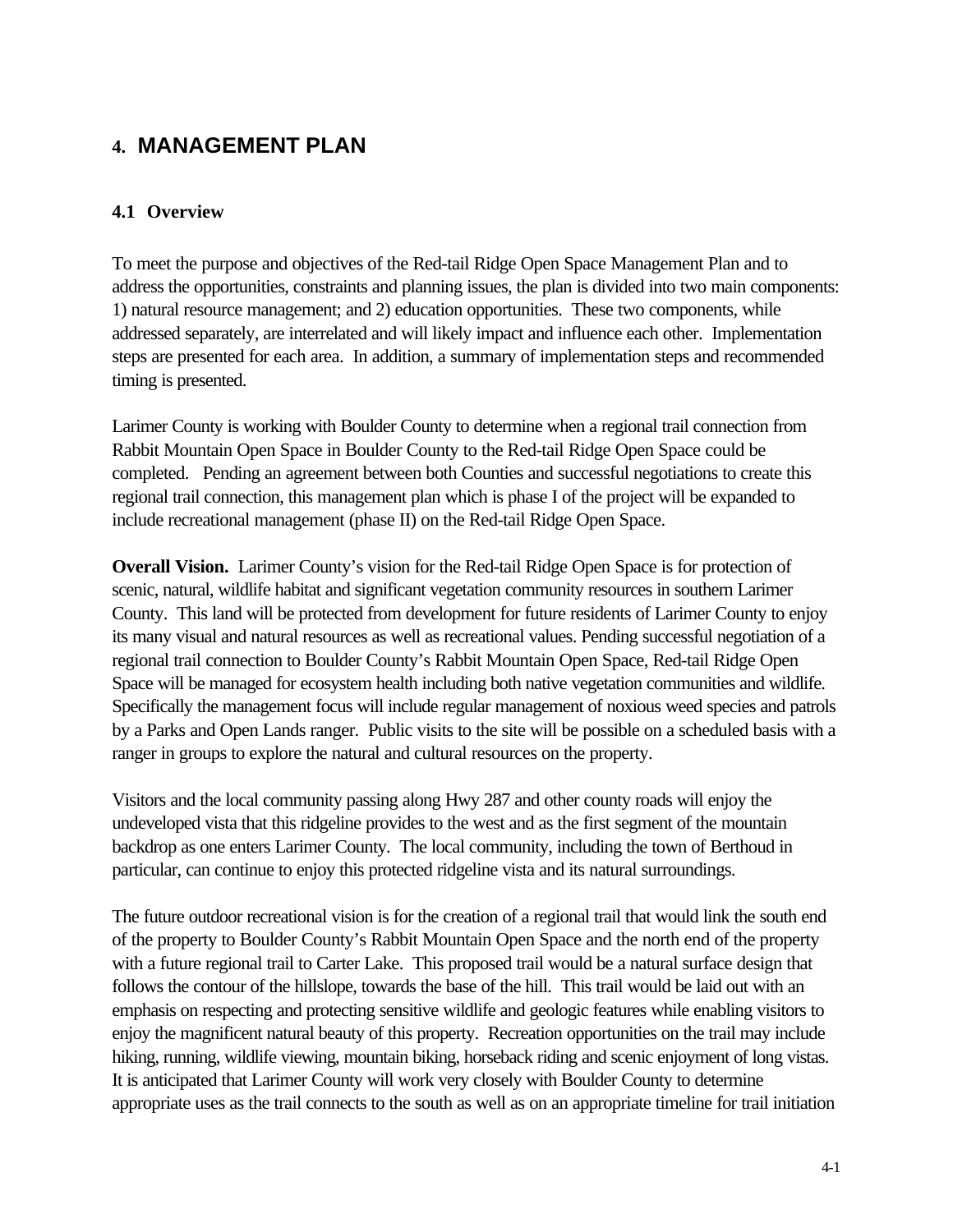## **4. MANAGEMENT PLAN**

### **4.1 Overview**

To meet the purpose and objectives of the Red-tail Ridge Open Space Management Plan and to address the opportunities, constraints and planning issues, the plan is divided into two main components: 1) natural resource management; and 2) education opportunities. These two components, while addressed separately, are interrelated and will likely impact and influence each other. Implementation steps are presented for each area. In addition, a summary of implementation steps and recommended timing is presented.

Larimer County is working with Boulder County to determine when a regional trail connection from Rabbit Mountain Open Space in Boulder County to the Red-tail Ridge Open Space could be completed. Pending an agreement between both Counties and successful negotiations to create this regional trail connection, this management plan which is phase I of the project will be expanded to include recreational management (phase II) on the Red-tail Ridge Open Space.

**Overall Vision.** Larimer County's vision for the Red-tail Ridge Open Space is for protection of scenic, natural, wildlife habitat and significant vegetation community resources in southern Larimer County. This land will be protected from development for future residents of Larimer County to enjoy its many visual and natural resources as well as recreational values. Pending successful negotiation of a regional trail connection to Boulder County's Rabbit Mountain Open Space, Red-tail Ridge Open Space will be managed for ecosystem health including both native vegetation communities and wildlife. Specifically the management focus will include regular management of noxious weed species and patrols by a Parks and Open Lands ranger. Public visits to the site will be possible on a scheduled basis with a ranger in groups to explore the natural and cultural resources on the property.

Visitors and the local community passing along Hwy 287 and other county roads will enjoy the undeveloped vista that this ridgeline provides to the west and as the first segment of the mountain backdrop as one enters Larimer County. The local community, including the town of Berthoud in particular, can continue to enjoy this protected ridgeline vista and its natural surroundings.

The future outdoor recreational vision is for the creation of a regional trail that would link the south end of the property to Boulder County's Rabbit Mountain Open Space and the north end of the property with a future regional trail to Carter Lake. This proposed trail would be a natural surface design that follows the contour of the hillslope, towards the base of the hill. This trail would be laid out with an emphasis on respecting and protecting sensitive wildlife and geologic features while enabling visitors to enjoy the magnificent natural beauty of this property. Recreation opportunities on the trail may include hiking, running, wildlife viewing, mountain biking, horseback riding and scenic enjoyment of long vistas. It is anticipated that Larimer County will work very closely with Boulder County to determine appropriate uses as the trail connects to the south as well as on an appropriate timeline for trail initiation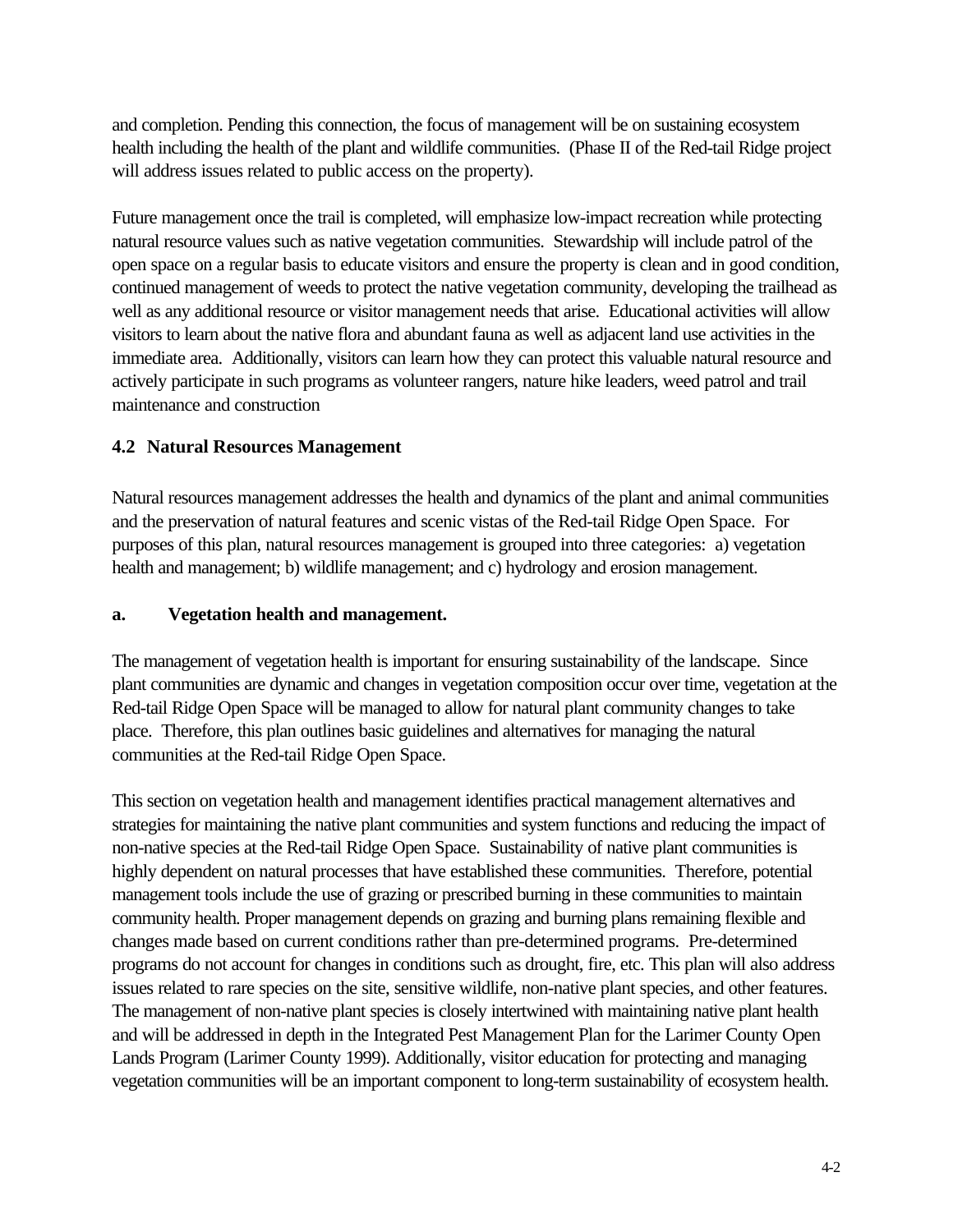and completion. Pending this connection, the focus of management will be on sustaining ecosystem health including the health of the plant and wildlife communities. (Phase II of the Red-tail Ridge project will address issues related to public access on the property).

Future management once the trail is completed, will emphasize low-impact recreation while protecting natural resource values such as native vegetation communities. Stewardship will include patrol of the open space on a regular basis to educate visitors and ensure the property is clean and in good condition, continued management of weeds to protect the native vegetation community, developing the trailhead as well as any additional resource or visitor management needs that arise. Educational activities will allow visitors to learn about the native flora and abundant fauna as well as adjacent land use activities in the immediate area. Additionally, visitors can learn how they can protect this valuable natural resource and actively participate in such programs as volunteer rangers, nature hike leaders, weed patrol and trail maintenance and construction

## **4.2 Natural Resources Management**

Natural resources management addresses the health and dynamics of the plant and animal communities and the preservation of natural features and scenic vistas of the Red-tail Ridge Open Space. For purposes of this plan, natural resources management is grouped into three categories: a) vegetation health and management; b) wildlife management; and c) hydrology and erosion management.

### **a. Vegetation health and management.**

The management of vegetation health is important for ensuring sustainability of the landscape. Since plant communities are dynamic and changes in vegetation composition occur over time, vegetation at the Red-tail Ridge Open Space will be managed to allow for natural plant community changes to take place. Therefore, this plan outlines basic guidelines and alternatives for managing the natural communities at the Red-tail Ridge Open Space.

This section on vegetation health and management identifies practical management alternatives and strategies for maintaining the native plant communities and system functions and reducing the impact of non-native species at the Red-tail Ridge Open Space. Sustainability of native plant communities is highly dependent on natural processes that have established these communities. Therefore, potential management tools include the use of grazing or prescribed burning in these communities to maintain community health. Proper management depends on grazing and burning plans remaining flexible and changes made based on current conditions rather than pre-determined programs. Pre-determined programs do not account for changes in conditions such as drought, fire, etc. This plan will also address issues related to rare species on the site, sensitive wildlife, non-native plant species, and other features. The management of non-native plant species is closely intertwined with maintaining native plant health and will be addressed in depth in the Integrated Pest Management Plan for the Larimer County Open Lands Program (Larimer County 1999). Additionally, visitor education for protecting and managing vegetation communities will be an important component to long-term sustainability of ecosystem health.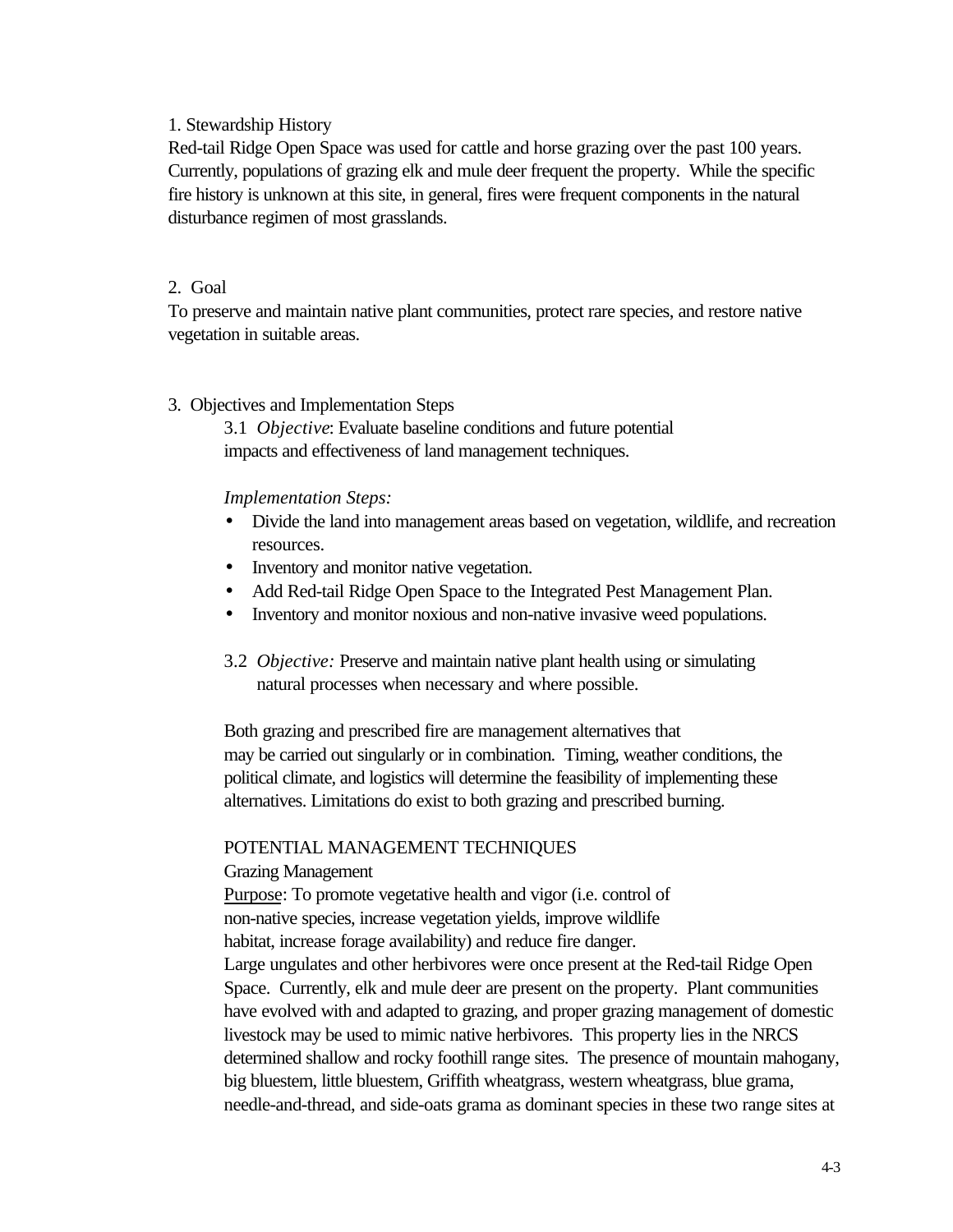#### 1. Stewardship History

Red-tail Ridge Open Space was used for cattle and horse grazing over the past 100 years. Currently, populations of grazing elk and mule deer frequent the property. While the specific fire history is unknown at this site, in general, fires were frequent components in the natural disturbance regimen of most grasslands.

#### 2. Goal

To preserve and maintain native plant communities, protect rare species, and restore native vegetation in suitable areas.

#### 3. Objectives and Implementation Steps

3.1 *Objective*: Evaluate baseline conditions and future potential impacts and effectiveness of land management techniques.

#### *Implementation Steps:*

- Divide the land into management areas based on vegetation, wildlife, and recreation resources.
- Inventory and monitor native vegetation.
- Add Red-tail Ridge Open Space to the Integrated Pest Management Plan.
- Inventory and monitor noxious and non-native invasive weed populations.
- 3.2 *Objective:* Preserve and maintain native plant health using or simulating natural processes when necessary and where possible.

Both grazing and prescribed fire are management alternatives that may be carried out singularly or in combination. Timing, weather conditions, the political climate, and logistics will determine the feasibility of implementing these alternatives. Limitations do exist to both grazing and prescribed burning.

#### POTENTIAL MANAGEMENT TECHNIQUES

#### Grazing Management

Purpose: To promote vegetative health and vigor (i.e. control of non-native species, increase vegetation yields, improve wildlife habitat, increase forage availability) and reduce fire danger.

Large ungulates and other herbivores were once present at the Red-tail Ridge Open Space. Currently, elk and mule deer are present on the property. Plant communities have evolved with and adapted to grazing, and proper grazing management of domestic livestock may be used to mimic native herbivores. This property lies in the NRCS determined shallow and rocky foothill range sites. The presence of mountain mahogany, big bluestem, little bluestem, Griffith wheatgrass, western wheatgrass, blue grama, needle-and-thread, and side-oats grama as dominant species in these two range sites at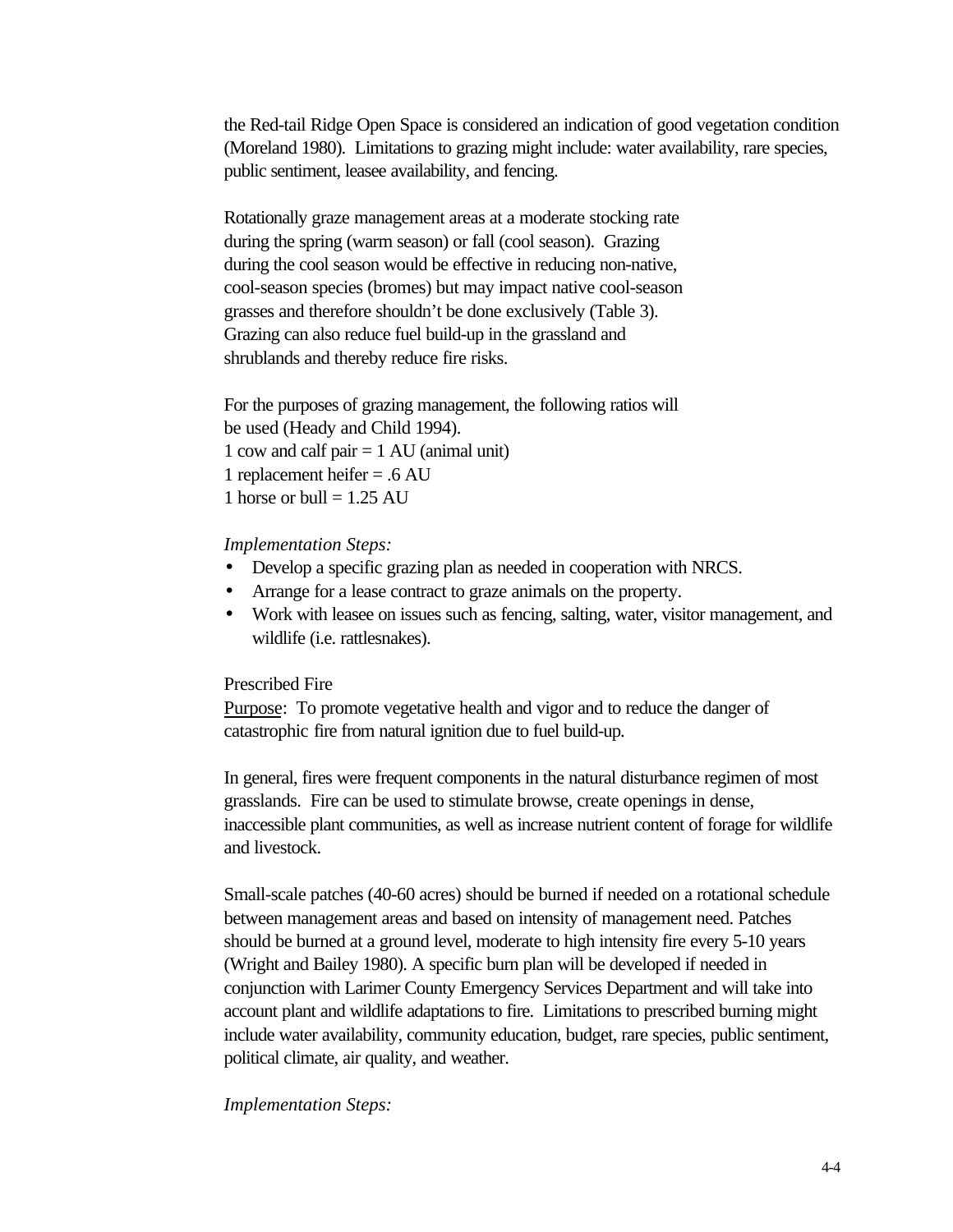the Red-tail Ridge Open Space is considered an indication of good vegetation condition (Moreland 1980). Limitations to grazing might include: water availability, rare species, public sentiment, leasee availability, and fencing.

Rotationally graze management areas at a moderate stocking rate during the spring (warm season) or fall (cool season). Grazing during the cool season would be effective in reducing non-native, cool-season species (bromes) but may impact native cool-season grasses and therefore shouldn't be done exclusively (Table 3). Grazing can also reduce fuel build-up in the grassland and shrublands and thereby reduce fire risks.

For the purposes of grazing management, the following ratios will be used (Heady and Child 1994). 1 cow and calf pair = 1 AU (animal unit) 1 replacement heifer = .6 AU 1 horse or bull  $= 1.25$  AU

#### *Implementation Steps:*

- Develop a specific grazing plan as needed in cooperation with NRCS.
- Arrange for a lease contract to graze animals on the property.
- Work with leasee on issues such as fencing, salting, water, visitor management, and wildlife (i.e. rattlesnakes).

#### Prescribed Fire

Purpose: To promote vegetative health and vigor and to reduce the danger of catastrophic fire from natural ignition due to fuel build-up.

In general, fires were frequent components in the natural disturbance regimen of most grasslands. Fire can be used to stimulate browse, create openings in dense, inaccessible plant communities, as well as increase nutrient content of forage for wildlife and livestock.

Small-scale patches (40-60 acres) should be burned if needed on a rotational schedule between management areas and based on intensity of management need. Patches should be burned at a ground level, moderate to high intensity fire every 5-10 years (Wright and Bailey 1980). A specific burn plan will be developed if needed in conjunction with Larimer County Emergency Services Department and will take into account plant and wildlife adaptations to fire. Limitations to prescribed burning might include water availability, community education, budget, rare species, public sentiment, political climate, air quality, and weather.

#### *Implementation Steps:*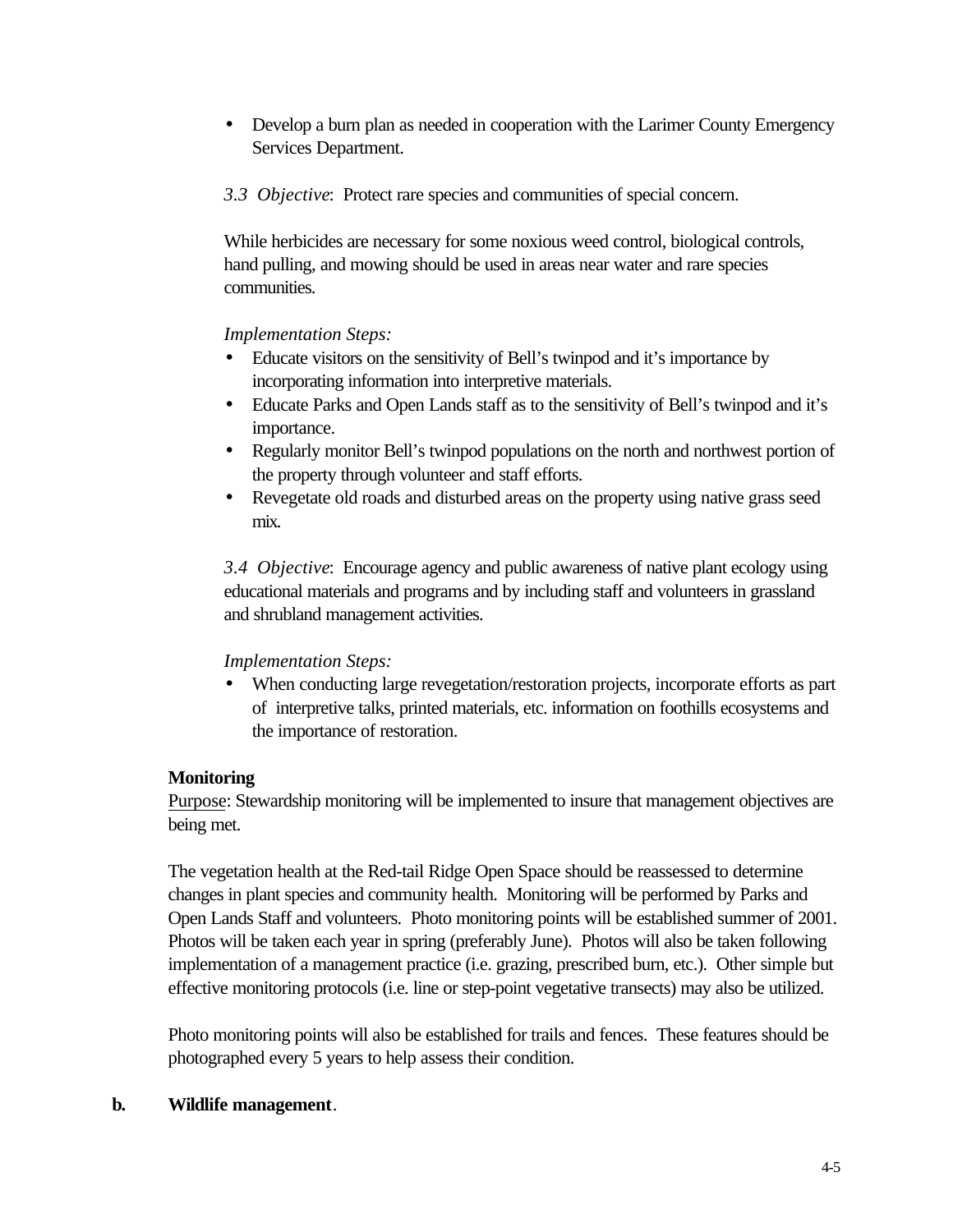- Develop a burn plan as needed in cooperation with the Larimer County Emergency Services Department.
- *3.3 Objective*: Protect rare species and communities of special concern.

While herbicides are necessary for some noxious weed control, biological controls, hand pulling, and mowing should be used in areas near water and rare species communities.

## *Implementation Steps:*

- Educate visitors on the sensitivity of Bell's twinpod and it's importance by incorporating information into interpretive materials.
- Educate Parks and Open Lands staff as to the sensitivity of Bell's twinpod and it's importance.
- Regularly monitor Bell's twinpod populations on the north and northwest portion of the property through volunteer and staff efforts.
- Revegetate old roads and disturbed areas on the property using native grass seed mix.

*3.4 Objective*: Encourage agency and public awareness of native plant ecology using educational materials and programs and by including staff and volunteers in grassland and shrubland management activities.

## *Implementation Steps:*

• When conducting large revegetation/restoration projects, incorporate efforts as part of interpretive talks, printed materials, etc. information on foothills ecosystems and the importance of restoration.

## **Monitoring**

Purpose: Stewardship monitoring will be implemented to insure that management objectives are being met.

The vegetation health at the Red-tail Ridge Open Space should be reassessed to determine changes in plant species and community health. Monitoring will be performed by Parks and Open Lands Staff and volunteers. Photo monitoring points will be established summer of 2001. Photos will be taken each year in spring (preferably June). Photos will also be taken following implementation of a management practice (i.e. grazing, prescribed burn, etc.). Other simple but effective monitoring protocols (i.e. line or step-point vegetative transects) may also be utilized.

Photo monitoring points will also be established for trails and fences. These features should be photographed every 5 years to help assess their condition.

#### **b. Wildlife management**.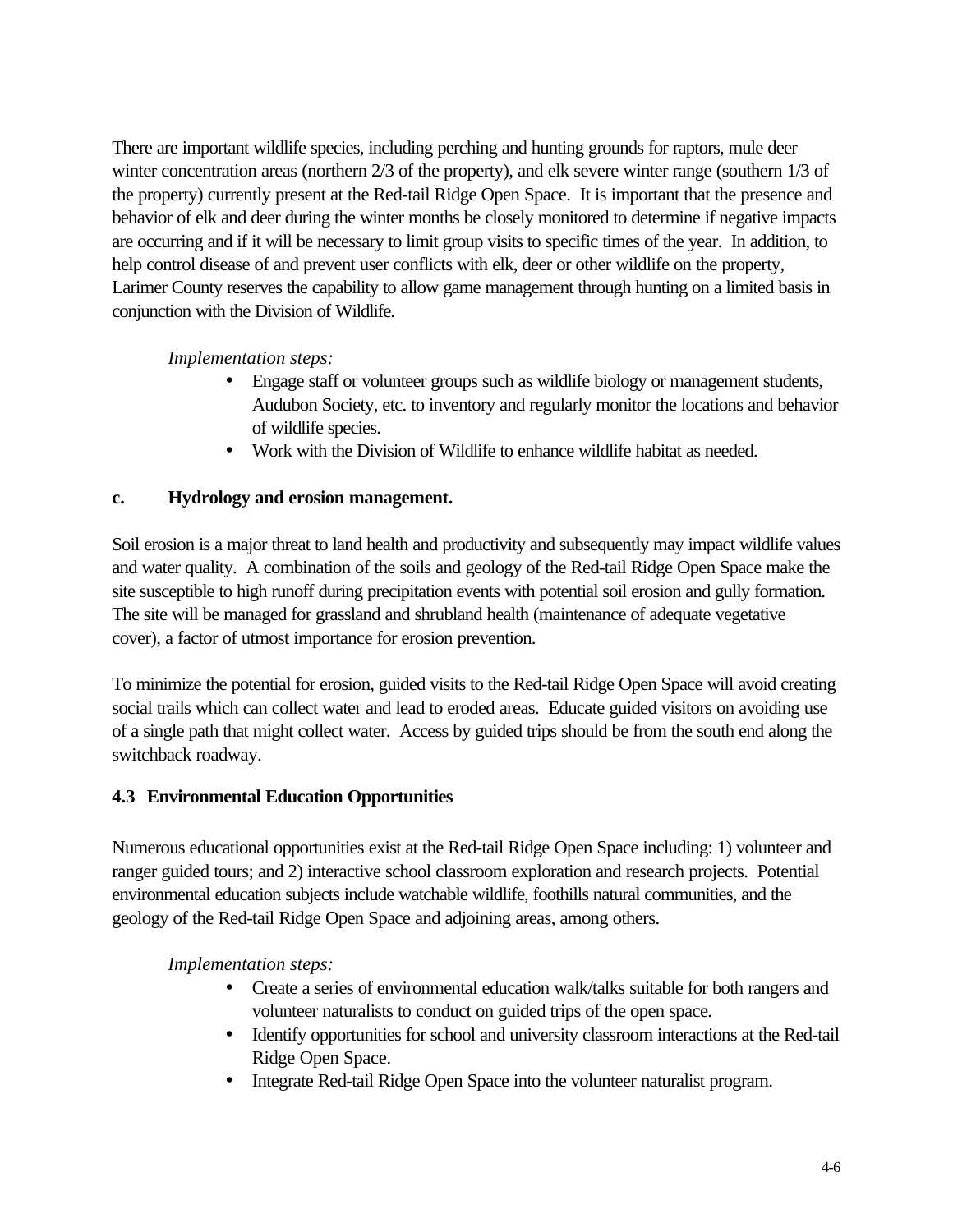There are important wildlife species, including perching and hunting grounds for raptors, mule deer winter concentration areas (northern 2/3 of the property), and elk severe winter range (southern 1/3 of the property) currently present at the Red-tail Ridge Open Space. It is important that the presence and behavior of elk and deer during the winter months be closely monitored to determine if negative impacts are occurring and if it will be necessary to limit group visits to specific times of the year. In addition, to help control disease of and prevent user conflicts with elk, deer or other wildlife on the property, Larimer County reserves the capability to allow game management through hunting on a limited basis in conjunction with the Division of Wildlife.

*Implementation steps:*

- Engage staff or volunteer groups such as wildlife biology or management students, Audubon Society, etc. to inventory and regularly monitor the locations and behavior of wildlife species.
- Work with the Division of Wildlife to enhance wildlife habitat as needed.

## **c. Hydrology and erosion management.**

Soil erosion is a major threat to land health and productivity and subsequently may impact wildlife values and water quality. A combination of the soils and geology of the Red-tail Ridge Open Space make the site susceptible to high runoff during precipitation events with potential soil erosion and gully formation. The site will be managed for grassland and shrubland health (maintenance of adequate vegetative cover), a factor of utmost importance for erosion prevention.

To minimize the potential for erosion, guided visits to the Red-tail Ridge Open Space will avoid creating social trails which can collect water and lead to eroded areas. Educate guided visitors on avoiding use of a single path that might collect water. Access by guided trips should be from the south end along the switchback roadway.

#### **4.3 Environmental Education Opportunities**

Numerous educational opportunities exist at the Red-tail Ridge Open Space including: 1) volunteer and ranger guided tours; and 2) interactive school classroom exploration and research projects. Potential environmental education subjects include watchable wildlife, foothills natural communities, and the geology of the Red-tail Ridge Open Space and adjoining areas, among others.

*Implementation steps:*

- Create a series of environmental education walk/talks suitable for both rangers and volunteer naturalists to conduct on guided trips of the open space.
- Identify opportunities for school and university classroom interactions at the Red-tail Ridge Open Space.
- Integrate Red-tail Ridge Open Space into the volunteer naturalist program.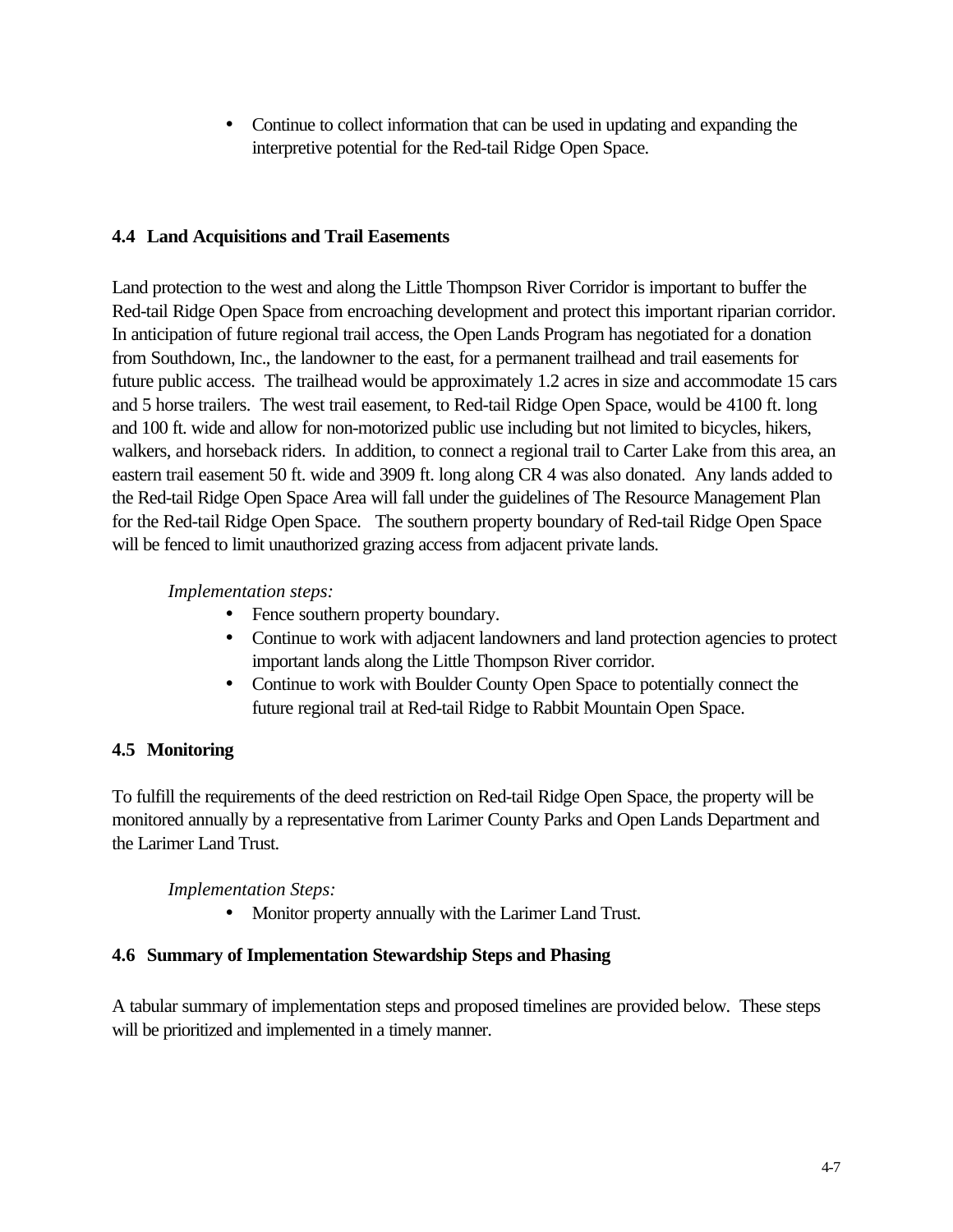• Continue to collect information that can be used in updating and expanding the interpretive potential for the Red-tail Ridge Open Space.

## **4.4 Land Acquisitions and Trail Easements**

Land protection to the west and along the Little Thompson River Corridor is important to buffer the Red-tail Ridge Open Space from encroaching development and protect this important riparian corridor. In anticipation of future regional trail access, the Open Lands Program has negotiated for a donation from Southdown, Inc., the landowner to the east, for a permanent trailhead and trail easements for future public access. The trailhead would be approximately 1.2 acres in size and accommodate 15 cars and 5 horse trailers. The west trail easement, to Red-tail Ridge Open Space, would be 4100 ft. long and 100 ft. wide and allow for non-motorized public use including but not limited to bicycles, hikers, walkers, and horseback riders. In addition, to connect a regional trail to Carter Lake from this area, an eastern trail easement 50 ft. wide and 3909 ft. long along CR 4 was also donated. Any lands added to the Red-tail Ridge Open Space Area will fall under the guidelines of The Resource Management Plan for the Red-tail Ridge Open Space. The southern property boundary of Red-tail Ridge Open Space will be fenced to limit unauthorized grazing access from adjacent private lands.

*Implementation steps:*

- Fence southern property boundary.
- Continue to work with adjacent landowners and land protection agencies to protect important lands along the Little Thompson River corridor.
- Continue to work with Boulder County Open Space to potentially connect the future regional trail at Red-tail Ridge to Rabbit Mountain Open Space.

## **4.5 Monitoring**

To fulfill the requirements of the deed restriction on Red-tail Ridge Open Space, the property will be monitored annually by a representative from Larimer County Parks and Open Lands Department and the Larimer Land Trust.

*Implementation Steps:*

• Monitor property annually with the Larimer Land Trust.

## **4.6 Summary of Implementation Stewardship Steps and Phasing**

A tabular summary of implementation steps and proposed timelines are provided below. These steps will be prioritized and implemented in a timely manner.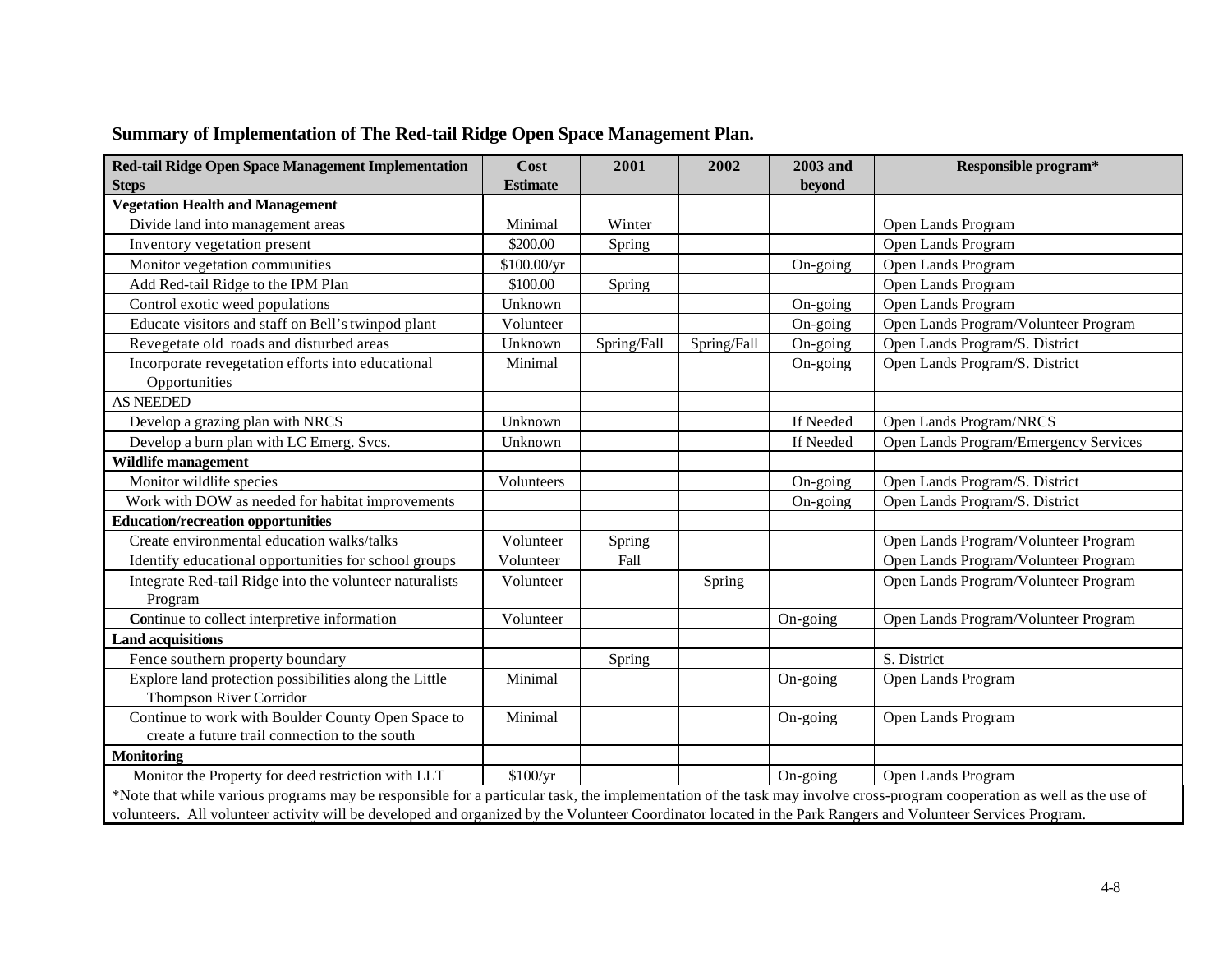| Red-tail Ridge Open Space Management Implementation<br><b>Steps</b>                                                                                                    | Cost<br><b>Estimate</b> | 2001        | 2002        | 2003 and<br>beyond | Responsible program*                  |
|------------------------------------------------------------------------------------------------------------------------------------------------------------------------|-------------------------|-------------|-------------|--------------------|---------------------------------------|
| <b>Vegetation Health and Management</b>                                                                                                                                |                         |             |             |                    |                                       |
| Divide land into management areas                                                                                                                                      | Minimal                 | Winter      |             |                    | Open Lands Program                    |
| Inventory vegetation present                                                                                                                                           | \$200.00                | Spring      |             |                    | Open Lands Program                    |
| Monitor vegetation communities                                                                                                                                         | \$100.00/yr             |             |             | On-going           | Open Lands Program                    |
| Add Red-tail Ridge to the IPM Plan                                                                                                                                     | \$100.00                | Spring      |             |                    | Open Lands Program                    |
| Control exotic weed populations                                                                                                                                        | Unknown                 |             |             | On-going           | Open Lands Program                    |
| Educate visitors and staff on Bell's twinpod plant                                                                                                                     | Volunteer               |             |             | On-going           | Open Lands Program/Volunteer Program  |
| Revegetate old roads and disturbed areas                                                                                                                               | Unknown                 | Spring/Fall | Spring/Fall | On-going           | Open Lands Program/S. District        |
| Incorporate revegetation efforts into educational<br>Opportunities                                                                                                     | Minimal                 |             |             | On-going           | Open Lands Program/S. District        |
| <b>AS NEEDED</b>                                                                                                                                                       |                         |             |             |                    |                                       |
| Develop a grazing plan with NRCS                                                                                                                                       | Unknown                 |             |             | If Needed          | <b>Open Lands Program/NRCS</b>        |
| Develop a burn plan with LC Emerg. Svcs.                                                                                                                               | Unknown                 |             |             | If Needed          | Open Lands Program/Emergency Services |
| Wildlife management                                                                                                                                                    |                         |             |             |                    |                                       |
| Monitor wildlife species                                                                                                                                               | Volunteers              |             |             | On-going           | Open Lands Program/S. District        |
| Work with DOW as needed for habitat improvements                                                                                                                       |                         |             |             | On-going           | Open Lands Program/S. District        |
| <b>Education/recreation opportunities</b>                                                                                                                              |                         |             |             |                    |                                       |
| Create environmental education walks/talks                                                                                                                             | Volunteer               | Spring      |             |                    | Open Lands Program/Volunteer Program  |
| Identify educational opportunities for school groups                                                                                                                   | Volunteer               | Fall        |             |                    | Open Lands Program/Volunteer Program  |
| Integrate Red-tail Ridge into the volunteer naturalists                                                                                                                | Volunteer               |             | Spring      |                    | Open Lands Program/Volunteer Program  |
| Program                                                                                                                                                                |                         |             |             |                    |                                       |
| Continue to collect interpretive information                                                                                                                           | Volunteer               |             |             | On-going           | Open Lands Program/Volunteer Program  |
| <b>Land acquisitions</b>                                                                                                                                               |                         |             |             |                    |                                       |
| Fence southern property boundary                                                                                                                                       |                         | Spring      |             |                    | S. District                           |
| Explore land protection possibilities along the Little<br><b>Thompson River Corridor</b>                                                                               | Minimal                 |             |             | On-going           | Open Lands Program                    |
| Continue to work with Boulder County Open Space to<br>create a future trail connection to the south                                                                    | Minimal                 |             |             | On-going           | Open Lands Program                    |
| <b>Monitoring</b>                                                                                                                                                      |                         |             |             |                    |                                       |
| Monitor the Property for deed restriction with LLT                                                                                                                     | \$100/yr                |             |             | On-going           | Open Lands Program                    |
| *Note that while various programs may be responsible for a particular task, the implementation of the task may involve cross-program cooperation as well as the use of |                         |             |             |                    |                                       |
| volunteers. All volunteer activity will be developed and organized by the Volunteer Coordinator located in the Park Rangers and Volunteer Services Program.            |                         |             |             |                    |                                       |

## **Summary of Implementation of The Red-tail Ridge Open Space Management Plan.**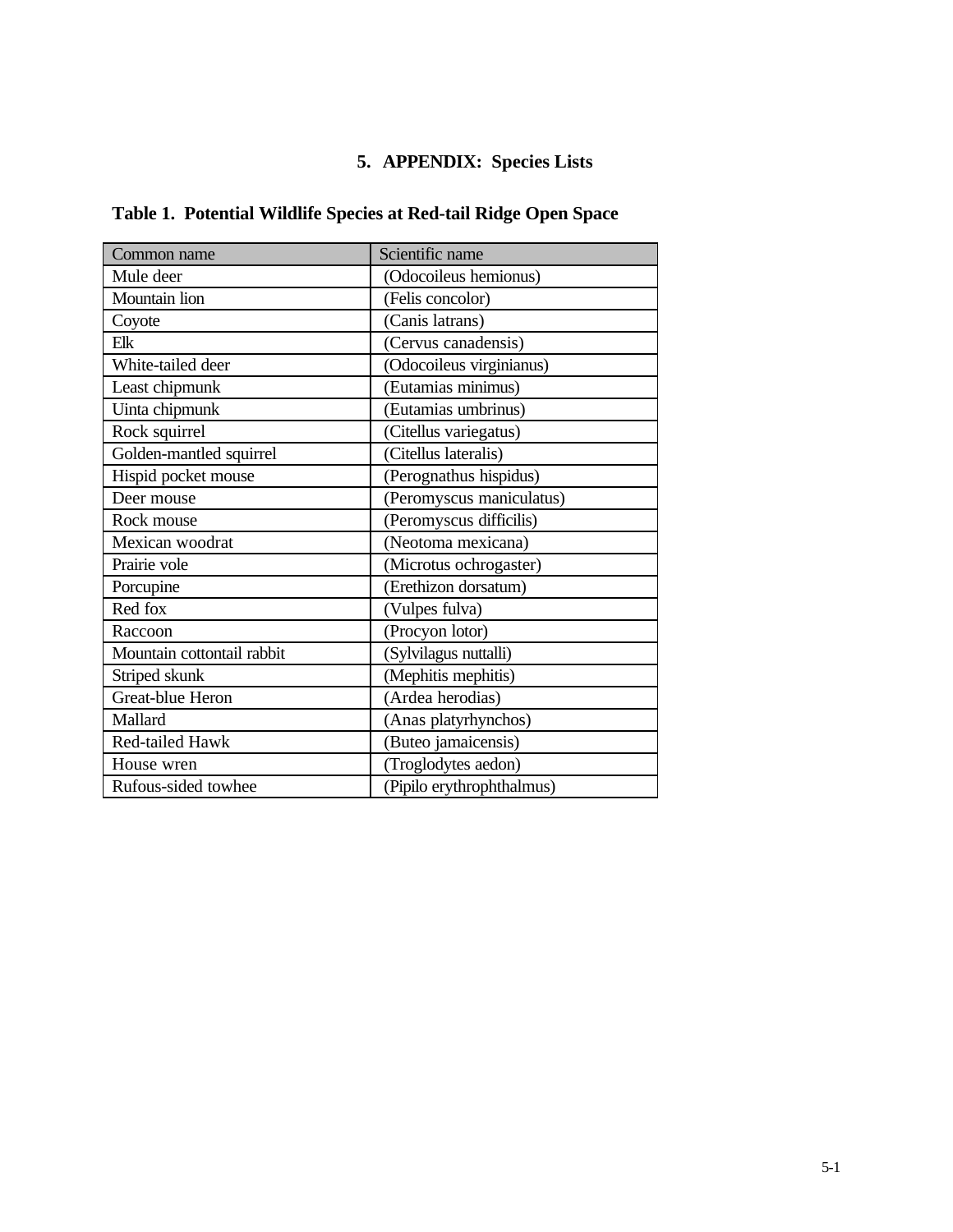## **5. APPENDIX: Species Lists**

| Table 1. Potential Wildlife Species at Red-tail Ridge Open Space |  |
|------------------------------------------------------------------|--|
|------------------------------------------------------------------|--|

| Common name                | Scientific name           |  |
|----------------------------|---------------------------|--|
| Mule deer                  | (Odocoileus hemionus)     |  |
| Mountain lion              | (Felis concolor)          |  |
| Coyote                     | (Canis latrans)           |  |
| Elk                        | (Cervus canadensis)       |  |
| White-tailed deer          | (Odocoileus virginianus)  |  |
| Least chipmunk             | (Eutamias minimus)        |  |
| Uinta chipmunk             | (Eutamias umbrinus)       |  |
| Rock squirrel              | (Citellus variegatus)     |  |
| Golden-mantled squirrel    | (Citellus lateralis)      |  |
| Hispid pocket mouse        | (Perognathus hispidus)    |  |
| Deer mouse                 | (Peromyscus maniculatus)  |  |
| Rock mouse                 | (Peromyscus difficilis)   |  |
| Mexican woodrat            | (Neotoma mexicana)        |  |
| Prairie vole               | (Microtus ochrogaster)    |  |
| Porcupine                  | (Erethizon dorsatum)      |  |
| Red fox                    | (Vulpes fulva)            |  |
| Raccoon                    | (Procyon lotor)           |  |
| Mountain cottontail rabbit | (Sylvilagus nuttalli)     |  |
| Striped skunk              | (Mephitis mephitis)       |  |
| Great-blue Heron           | (Ardea herodias)          |  |
| Mallard                    | (Anas platyrhynchos)      |  |
| Red-tailed Hawk            | (Buteo jamaicensis)       |  |
| House wren                 | (Troglodytes aedon)       |  |
| Rufous-sided towhee        | (Pipilo erythrophthalmus) |  |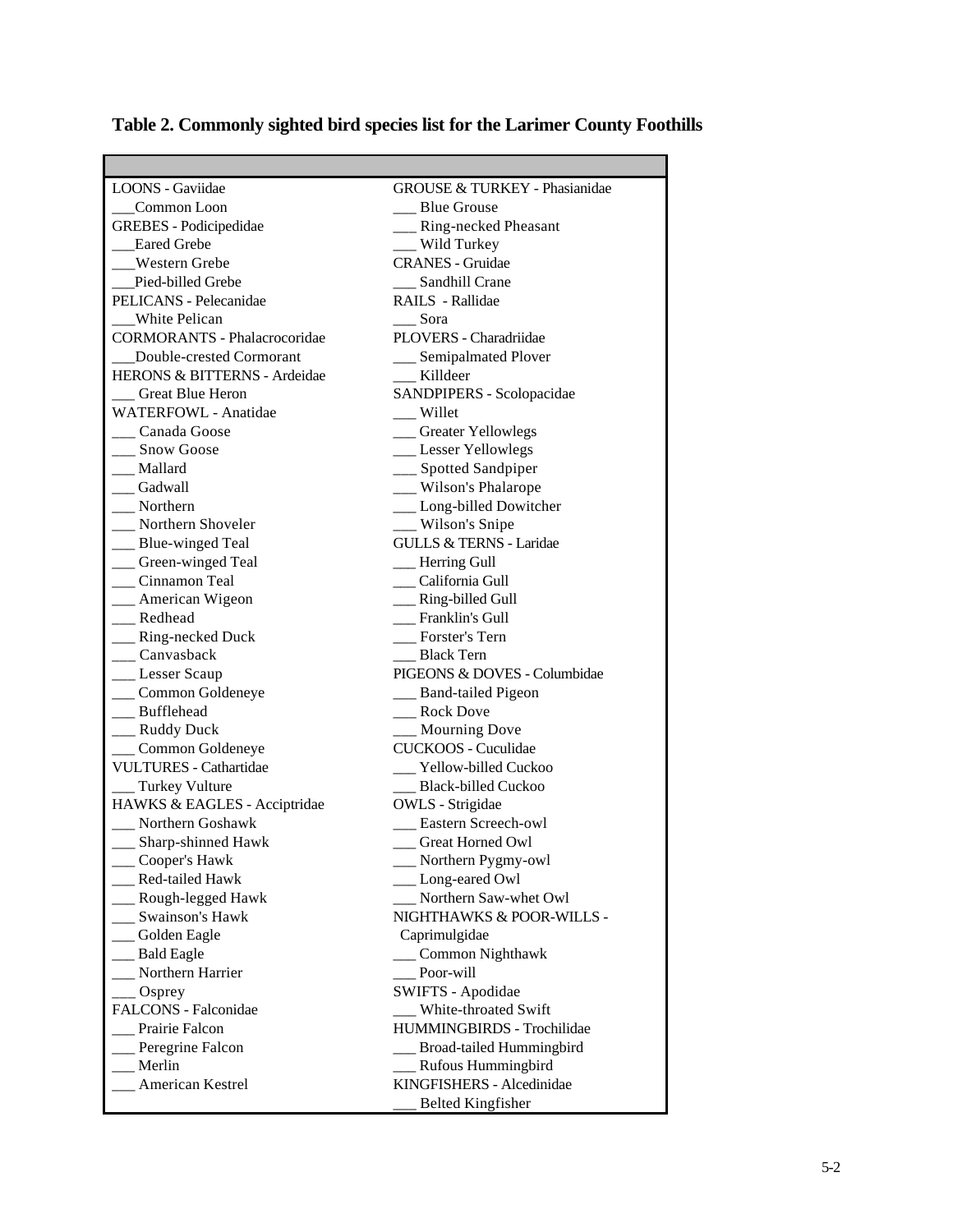| <b>LOONS</b> - Gaviidae                 | <b>GROUSE &amp; TURKEY - Phasianidae</b> |
|-----------------------------------------|------------------------------------------|
| Common Loon                             | <b>Blue Grouse</b>                       |
| <b>GREBES</b> - Podicipedidae           | __ Ring-necked Pheasant                  |
| _Eared Grebe                            | __ Wild Turkey                           |
| __Western Grebe                         | <b>CRANES</b> - Gruidae                  |
| Pied-billed Grebe                       | __ Sandhill Crane                        |
| PELICANS - Pelecanidae                  | RAILS - Rallidae                         |
| <b>White Pelican</b>                    | Sora                                     |
| <b>CORMORANTS - Phalacrocoridae</b>     | PLOVERS - Charadriidae                   |
| Double-crested Cormorant                | __ Semipalmated Plover                   |
| <b>HERONS &amp; BITTERNS - Ardeidae</b> | __ Killdeer                              |
| Great Blue Heron                        | SANDPIPERS - Scolopacidae                |
| WATERFOWL - Anatidae                    | $\frac{1}{2}$ Willet                     |
| __ Canada Goose                         | __ Greater Yellowlegs                    |
| __ Snow Goose                           | __ Lesser Yellowlegs                     |
| __ Mallard                              | __ Spotted Sandpiper                     |
| Gadwall                                 | __ Wilson's Phalarope                    |
| __ Northern                             | __ Long-billed Dowitcher                 |
| __ Northern Shoveler                    | __ Wilson's Snipe                        |
| __ Blue-winged Teal                     | <b>GULLS &amp; TERNS - Laridae</b>       |
| __ Green-winged Teal                    | __ Herring Gull                          |
| __ Cinnamon Teal                        | __ California Gull                       |
| __ American Wigeon                      | __ Ring-billed Gull                      |
| __ Redhead                              | __ Franklin's Gull                       |
| __ Ring-necked Duck                     | __ Forster's Tern                        |
| ___ Canvasback                          | Black Tern                               |
| __ Lesser Scaup                         | PIGEONS & DOVES - Columbidae             |
| Common Goldeneye                        | __ Band-tailed Pigeon                    |
| __ Bufflehead                           | __ Rock Dove                             |
| __ Ruddy Duck                           | __ Mourning Dove                         |
| Common Goldeneye                        | <b>CUCKOOS</b> - Cuculidae               |
| <b>VULTURES - Cathartidae</b>           | <b>Yellow-billed Cuckoo</b>              |
| __ Turkey Vulture                       | Black-billed Cuckoo                      |
| HAWKS & EAGLES - Acciptridae            | OWLS - Strigidae                         |
| Northern Goshawk                        | <b>Eastern Screech-owl</b>               |
| __ Sharp-shinned Hawk                   | Great Horned Owl                         |
| Cooper's Hawk                           | Northern Pygmy-owl                       |
| Red-tailed Hawk                         | Long-eared Owl                           |
| Rough-legged Hawk                       | Northern Saw-whet Owl                    |
| Swainson's Hawk                         | NIGHTHAWKS & POOR-WILLS -                |
|                                         |                                          |
| Golden Eagle                            | Caprimulgidae                            |
| <b>Bald Eagle</b>                       | Common Nighthawk                         |
| Northern Harrier                        | Poor-will                                |
| Osprey                                  | SWIFTS - Apodidae                        |
| FALCONS - Falconidae                    | White-throated Swift                     |
| Prairie Falcon                          | HUMMINGBIRDS - Trochilidae               |
| Peregrine Falcon                        | Broad-tailed Hummingbird                 |
| Merlin                                  | Rufous Hummingbird                       |
| American Kestrel                        | KINGFISHERS - Alcedinidae                |
|                                         | <b>Belted Kingfisher</b>                 |

# **Table 2. Commonly sighted bird species list for the Larimer County Foothills**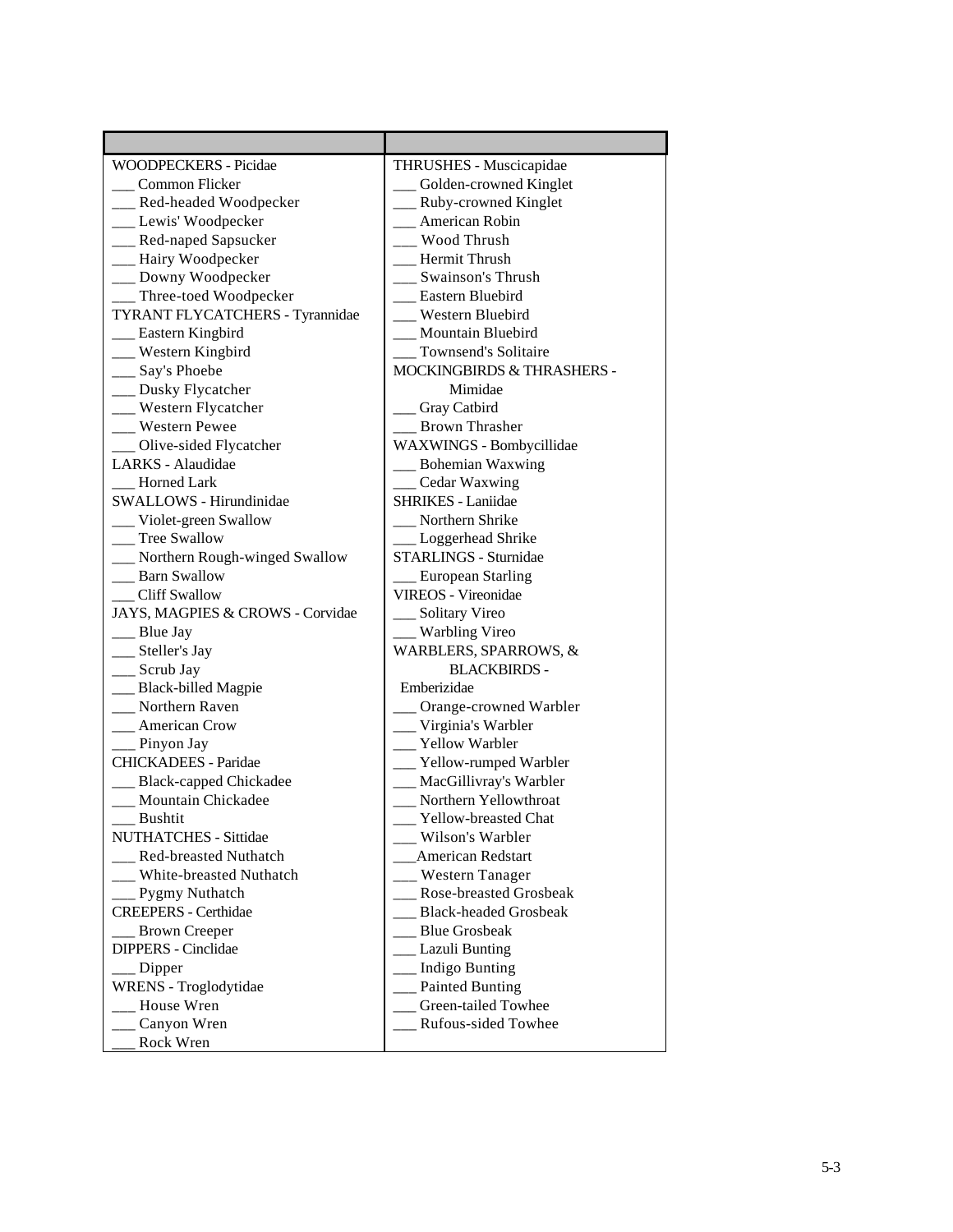| WOODPECKERS - Picidae<br>THRUSHES - Muscicapidae<br>Common Flicker<br>Golden-crowned Kinglet<br>Red-headed Woodpecker<br>Ruby-crowned Kinglet<br>American Robin<br>__ Lewis' Woodpecker<br>__ Red-naped Sapsucker<br>Wood Thrush<br>Hairy Woodpecker<br>Hermit Thrush<br>Downy Woodpecker<br>Swainson's Thrush<br>Three-toed Woodpecker<br>Eastern Bluebird<br>TYRANT FLYCATCHERS - Tyrannidae<br>Western Bluebird<br>Eastern Kingbird<br>Mountain Bluebird<br>Western Kingbird<br>Townsend's Solitaire<br>__ Say's Phoebe<br><b>MOCKINGBIRDS &amp; THRASHERS -</b><br>__ Dusky Flycatcher<br>Mimidae<br>__ Western Flycatcher<br>Gray Catbird<br>Western Pewee<br><b>Brown Thrasher</b><br>WAXWINGS - Bombycillidae<br>Olive-sided Flycatcher<br>LARKS - Alaudidae<br><b>Bohemian Waxwing</b><br>Horned Lark<br>Cedar Waxwing<br>SHRIKES - Laniidae<br>SWALLOWS - Hirundinidae<br>Violet-green Swallow<br>Northern Shrike<br><b>Tree Swallow</b><br>Loggerhead Shrike<br>Northern Rough-winged Swallow<br>STARLINGS - Sturnidae<br><b>Barn Swallow</b><br><b>European Starling</b><br><b>VIREOS</b> - Vireonidae<br><b>Cliff Swallow</b><br>JAYS, MAGPIES & CROWS - Corvidae<br>Solitary Vireo<br>Warbling Vireo<br>Blue Jay<br>__ Steller's Jay<br>WARBLERS, SPARROWS, &<br>__ Scrub Jay<br><b>BLACKBIRDS -</b><br>_ Black-billed Magpie<br>Emberizidae<br>Northern Raven<br>Orange-crowned Warbler<br>American Crow<br>Virginia's Warbler<br>Yellow Warbler<br>Pinyon Jay<br><b>CHICKADEES</b> - Paridae<br>Yellow-rumped Warbler<br>MacGillivray's Warbler<br><b>Black-capped Chickadee</b><br>Northern Yellowthroat<br>Mountain Chickadee<br><b>Bushtit</b><br><b>Yellow-breasted Chat</b><br><b>NUTHATCHES - Sittidae</b><br>Wilson's Warbler<br><b>American Redstart</b><br><b>Red-breasted Nuthatch</b><br>White-breasted Nuthatch<br>Western Tanager<br>Rose-breasted Grosbeak<br>Pygmy Nuthatch<br><b>CREEPERS</b> - Certhidae<br><b>Black-headed Grosbeak</b><br><b>Blue Grosbeak</b><br><b>Brown Creeper</b><br>DIPPERS - Cinclidae<br>Lazuli Bunting<br><b>Indigo Bunting</b><br>Dipper<br>WRENS - Troglodytidae<br><b>Painted Bunting</b><br>Green-tailed Towhee<br>House Wren<br>Rufous-sided Towhee<br>Canyon Wren<br>Rock Wren |  |
|-------------------------------------------------------------------------------------------------------------------------------------------------------------------------------------------------------------------------------------------------------------------------------------------------------------------------------------------------------------------------------------------------------------------------------------------------------------------------------------------------------------------------------------------------------------------------------------------------------------------------------------------------------------------------------------------------------------------------------------------------------------------------------------------------------------------------------------------------------------------------------------------------------------------------------------------------------------------------------------------------------------------------------------------------------------------------------------------------------------------------------------------------------------------------------------------------------------------------------------------------------------------------------------------------------------------------------------------------------------------------------------------------------------------------------------------------------------------------------------------------------------------------------------------------------------------------------------------------------------------------------------------------------------------------------------------------------------------------------------------------------------------------------------------------------------------------------------------------------------------------------------------------------------------------------------------------------------------------------------------------------------------------------------------------------------------------------------------------------------------------------------------------------------------------------------------------------------------------------------------------|--|
|                                                                                                                                                                                                                                                                                                                                                                                                                                                                                                                                                                                                                                                                                                                                                                                                                                                                                                                                                                                                                                                                                                                                                                                                                                                                                                                                                                                                                                                                                                                                                                                                                                                                                                                                                                                                                                                                                                                                                                                                                                                                                                                                                                                                                                                 |  |
|                                                                                                                                                                                                                                                                                                                                                                                                                                                                                                                                                                                                                                                                                                                                                                                                                                                                                                                                                                                                                                                                                                                                                                                                                                                                                                                                                                                                                                                                                                                                                                                                                                                                                                                                                                                                                                                                                                                                                                                                                                                                                                                                                                                                                                                 |  |
|                                                                                                                                                                                                                                                                                                                                                                                                                                                                                                                                                                                                                                                                                                                                                                                                                                                                                                                                                                                                                                                                                                                                                                                                                                                                                                                                                                                                                                                                                                                                                                                                                                                                                                                                                                                                                                                                                                                                                                                                                                                                                                                                                                                                                                                 |  |
|                                                                                                                                                                                                                                                                                                                                                                                                                                                                                                                                                                                                                                                                                                                                                                                                                                                                                                                                                                                                                                                                                                                                                                                                                                                                                                                                                                                                                                                                                                                                                                                                                                                                                                                                                                                                                                                                                                                                                                                                                                                                                                                                                                                                                                                 |  |
|                                                                                                                                                                                                                                                                                                                                                                                                                                                                                                                                                                                                                                                                                                                                                                                                                                                                                                                                                                                                                                                                                                                                                                                                                                                                                                                                                                                                                                                                                                                                                                                                                                                                                                                                                                                                                                                                                                                                                                                                                                                                                                                                                                                                                                                 |  |
|                                                                                                                                                                                                                                                                                                                                                                                                                                                                                                                                                                                                                                                                                                                                                                                                                                                                                                                                                                                                                                                                                                                                                                                                                                                                                                                                                                                                                                                                                                                                                                                                                                                                                                                                                                                                                                                                                                                                                                                                                                                                                                                                                                                                                                                 |  |
|                                                                                                                                                                                                                                                                                                                                                                                                                                                                                                                                                                                                                                                                                                                                                                                                                                                                                                                                                                                                                                                                                                                                                                                                                                                                                                                                                                                                                                                                                                                                                                                                                                                                                                                                                                                                                                                                                                                                                                                                                                                                                                                                                                                                                                                 |  |
|                                                                                                                                                                                                                                                                                                                                                                                                                                                                                                                                                                                                                                                                                                                                                                                                                                                                                                                                                                                                                                                                                                                                                                                                                                                                                                                                                                                                                                                                                                                                                                                                                                                                                                                                                                                                                                                                                                                                                                                                                                                                                                                                                                                                                                                 |  |
|                                                                                                                                                                                                                                                                                                                                                                                                                                                                                                                                                                                                                                                                                                                                                                                                                                                                                                                                                                                                                                                                                                                                                                                                                                                                                                                                                                                                                                                                                                                                                                                                                                                                                                                                                                                                                                                                                                                                                                                                                                                                                                                                                                                                                                                 |  |
|                                                                                                                                                                                                                                                                                                                                                                                                                                                                                                                                                                                                                                                                                                                                                                                                                                                                                                                                                                                                                                                                                                                                                                                                                                                                                                                                                                                                                                                                                                                                                                                                                                                                                                                                                                                                                                                                                                                                                                                                                                                                                                                                                                                                                                                 |  |
|                                                                                                                                                                                                                                                                                                                                                                                                                                                                                                                                                                                                                                                                                                                                                                                                                                                                                                                                                                                                                                                                                                                                                                                                                                                                                                                                                                                                                                                                                                                                                                                                                                                                                                                                                                                                                                                                                                                                                                                                                                                                                                                                                                                                                                                 |  |
|                                                                                                                                                                                                                                                                                                                                                                                                                                                                                                                                                                                                                                                                                                                                                                                                                                                                                                                                                                                                                                                                                                                                                                                                                                                                                                                                                                                                                                                                                                                                                                                                                                                                                                                                                                                                                                                                                                                                                                                                                                                                                                                                                                                                                                                 |  |
|                                                                                                                                                                                                                                                                                                                                                                                                                                                                                                                                                                                                                                                                                                                                                                                                                                                                                                                                                                                                                                                                                                                                                                                                                                                                                                                                                                                                                                                                                                                                                                                                                                                                                                                                                                                                                                                                                                                                                                                                                                                                                                                                                                                                                                                 |  |
|                                                                                                                                                                                                                                                                                                                                                                                                                                                                                                                                                                                                                                                                                                                                                                                                                                                                                                                                                                                                                                                                                                                                                                                                                                                                                                                                                                                                                                                                                                                                                                                                                                                                                                                                                                                                                                                                                                                                                                                                                                                                                                                                                                                                                                                 |  |
|                                                                                                                                                                                                                                                                                                                                                                                                                                                                                                                                                                                                                                                                                                                                                                                                                                                                                                                                                                                                                                                                                                                                                                                                                                                                                                                                                                                                                                                                                                                                                                                                                                                                                                                                                                                                                                                                                                                                                                                                                                                                                                                                                                                                                                                 |  |
|                                                                                                                                                                                                                                                                                                                                                                                                                                                                                                                                                                                                                                                                                                                                                                                                                                                                                                                                                                                                                                                                                                                                                                                                                                                                                                                                                                                                                                                                                                                                                                                                                                                                                                                                                                                                                                                                                                                                                                                                                                                                                                                                                                                                                                                 |  |
|                                                                                                                                                                                                                                                                                                                                                                                                                                                                                                                                                                                                                                                                                                                                                                                                                                                                                                                                                                                                                                                                                                                                                                                                                                                                                                                                                                                                                                                                                                                                                                                                                                                                                                                                                                                                                                                                                                                                                                                                                                                                                                                                                                                                                                                 |  |
|                                                                                                                                                                                                                                                                                                                                                                                                                                                                                                                                                                                                                                                                                                                                                                                                                                                                                                                                                                                                                                                                                                                                                                                                                                                                                                                                                                                                                                                                                                                                                                                                                                                                                                                                                                                                                                                                                                                                                                                                                                                                                                                                                                                                                                                 |  |
|                                                                                                                                                                                                                                                                                                                                                                                                                                                                                                                                                                                                                                                                                                                                                                                                                                                                                                                                                                                                                                                                                                                                                                                                                                                                                                                                                                                                                                                                                                                                                                                                                                                                                                                                                                                                                                                                                                                                                                                                                                                                                                                                                                                                                                                 |  |
|                                                                                                                                                                                                                                                                                                                                                                                                                                                                                                                                                                                                                                                                                                                                                                                                                                                                                                                                                                                                                                                                                                                                                                                                                                                                                                                                                                                                                                                                                                                                                                                                                                                                                                                                                                                                                                                                                                                                                                                                                                                                                                                                                                                                                                                 |  |
|                                                                                                                                                                                                                                                                                                                                                                                                                                                                                                                                                                                                                                                                                                                                                                                                                                                                                                                                                                                                                                                                                                                                                                                                                                                                                                                                                                                                                                                                                                                                                                                                                                                                                                                                                                                                                                                                                                                                                                                                                                                                                                                                                                                                                                                 |  |
|                                                                                                                                                                                                                                                                                                                                                                                                                                                                                                                                                                                                                                                                                                                                                                                                                                                                                                                                                                                                                                                                                                                                                                                                                                                                                                                                                                                                                                                                                                                                                                                                                                                                                                                                                                                                                                                                                                                                                                                                                                                                                                                                                                                                                                                 |  |
|                                                                                                                                                                                                                                                                                                                                                                                                                                                                                                                                                                                                                                                                                                                                                                                                                                                                                                                                                                                                                                                                                                                                                                                                                                                                                                                                                                                                                                                                                                                                                                                                                                                                                                                                                                                                                                                                                                                                                                                                                                                                                                                                                                                                                                                 |  |
|                                                                                                                                                                                                                                                                                                                                                                                                                                                                                                                                                                                                                                                                                                                                                                                                                                                                                                                                                                                                                                                                                                                                                                                                                                                                                                                                                                                                                                                                                                                                                                                                                                                                                                                                                                                                                                                                                                                                                                                                                                                                                                                                                                                                                                                 |  |
|                                                                                                                                                                                                                                                                                                                                                                                                                                                                                                                                                                                                                                                                                                                                                                                                                                                                                                                                                                                                                                                                                                                                                                                                                                                                                                                                                                                                                                                                                                                                                                                                                                                                                                                                                                                                                                                                                                                                                                                                                                                                                                                                                                                                                                                 |  |
|                                                                                                                                                                                                                                                                                                                                                                                                                                                                                                                                                                                                                                                                                                                                                                                                                                                                                                                                                                                                                                                                                                                                                                                                                                                                                                                                                                                                                                                                                                                                                                                                                                                                                                                                                                                                                                                                                                                                                                                                                                                                                                                                                                                                                                                 |  |
|                                                                                                                                                                                                                                                                                                                                                                                                                                                                                                                                                                                                                                                                                                                                                                                                                                                                                                                                                                                                                                                                                                                                                                                                                                                                                                                                                                                                                                                                                                                                                                                                                                                                                                                                                                                                                                                                                                                                                                                                                                                                                                                                                                                                                                                 |  |
|                                                                                                                                                                                                                                                                                                                                                                                                                                                                                                                                                                                                                                                                                                                                                                                                                                                                                                                                                                                                                                                                                                                                                                                                                                                                                                                                                                                                                                                                                                                                                                                                                                                                                                                                                                                                                                                                                                                                                                                                                                                                                                                                                                                                                                                 |  |
|                                                                                                                                                                                                                                                                                                                                                                                                                                                                                                                                                                                                                                                                                                                                                                                                                                                                                                                                                                                                                                                                                                                                                                                                                                                                                                                                                                                                                                                                                                                                                                                                                                                                                                                                                                                                                                                                                                                                                                                                                                                                                                                                                                                                                                                 |  |
|                                                                                                                                                                                                                                                                                                                                                                                                                                                                                                                                                                                                                                                                                                                                                                                                                                                                                                                                                                                                                                                                                                                                                                                                                                                                                                                                                                                                                                                                                                                                                                                                                                                                                                                                                                                                                                                                                                                                                                                                                                                                                                                                                                                                                                                 |  |
|                                                                                                                                                                                                                                                                                                                                                                                                                                                                                                                                                                                                                                                                                                                                                                                                                                                                                                                                                                                                                                                                                                                                                                                                                                                                                                                                                                                                                                                                                                                                                                                                                                                                                                                                                                                                                                                                                                                                                                                                                                                                                                                                                                                                                                                 |  |
|                                                                                                                                                                                                                                                                                                                                                                                                                                                                                                                                                                                                                                                                                                                                                                                                                                                                                                                                                                                                                                                                                                                                                                                                                                                                                                                                                                                                                                                                                                                                                                                                                                                                                                                                                                                                                                                                                                                                                                                                                                                                                                                                                                                                                                                 |  |
|                                                                                                                                                                                                                                                                                                                                                                                                                                                                                                                                                                                                                                                                                                                                                                                                                                                                                                                                                                                                                                                                                                                                                                                                                                                                                                                                                                                                                                                                                                                                                                                                                                                                                                                                                                                                                                                                                                                                                                                                                                                                                                                                                                                                                                                 |  |
|                                                                                                                                                                                                                                                                                                                                                                                                                                                                                                                                                                                                                                                                                                                                                                                                                                                                                                                                                                                                                                                                                                                                                                                                                                                                                                                                                                                                                                                                                                                                                                                                                                                                                                                                                                                                                                                                                                                                                                                                                                                                                                                                                                                                                                                 |  |
|                                                                                                                                                                                                                                                                                                                                                                                                                                                                                                                                                                                                                                                                                                                                                                                                                                                                                                                                                                                                                                                                                                                                                                                                                                                                                                                                                                                                                                                                                                                                                                                                                                                                                                                                                                                                                                                                                                                                                                                                                                                                                                                                                                                                                                                 |  |
|                                                                                                                                                                                                                                                                                                                                                                                                                                                                                                                                                                                                                                                                                                                                                                                                                                                                                                                                                                                                                                                                                                                                                                                                                                                                                                                                                                                                                                                                                                                                                                                                                                                                                                                                                                                                                                                                                                                                                                                                                                                                                                                                                                                                                                                 |  |
|                                                                                                                                                                                                                                                                                                                                                                                                                                                                                                                                                                                                                                                                                                                                                                                                                                                                                                                                                                                                                                                                                                                                                                                                                                                                                                                                                                                                                                                                                                                                                                                                                                                                                                                                                                                                                                                                                                                                                                                                                                                                                                                                                                                                                                                 |  |
|                                                                                                                                                                                                                                                                                                                                                                                                                                                                                                                                                                                                                                                                                                                                                                                                                                                                                                                                                                                                                                                                                                                                                                                                                                                                                                                                                                                                                                                                                                                                                                                                                                                                                                                                                                                                                                                                                                                                                                                                                                                                                                                                                                                                                                                 |  |
|                                                                                                                                                                                                                                                                                                                                                                                                                                                                                                                                                                                                                                                                                                                                                                                                                                                                                                                                                                                                                                                                                                                                                                                                                                                                                                                                                                                                                                                                                                                                                                                                                                                                                                                                                                                                                                                                                                                                                                                                                                                                                                                                                                                                                                                 |  |
|                                                                                                                                                                                                                                                                                                                                                                                                                                                                                                                                                                                                                                                                                                                                                                                                                                                                                                                                                                                                                                                                                                                                                                                                                                                                                                                                                                                                                                                                                                                                                                                                                                                                                                                                                                                                                                                                                                                                                                                                                                                                                                                                                                                                                                                 |  |
|                                                                                                                                                                                                                                                                                                                                                                                                                                                                                                                                                                                                                                                                                                                                                                                                                                                                                                                                                                                                                                                                                                                                                                                                                                                                                                                                                                                                                                                                                                                                                                                                                                                                                                                                                                                                                                                                                                                                                                                                                                                                                                                                                                                                                                                 |  |
|                                                                                                                                                                                                                                                                                                                                                                                                                                                                                                                                                                                                                                                                                                                                                                                                                                                                                                                                                                                                                                                                                                                                                                                                                                                                                                                                                                                                                                                                                                                                                                                                                                                                                                                                                                                                                                                                                                                                                                                                                                                                                                                                                                                                                                                 |  |
|                                                                                                                                                                                                                                                                                                                                                                                                                                                                                                                                                                                                                                                                                                                                                                                                                                                                                                                                                                                                                                                                                                                                                                                                                                                                                                                                                                                                                                                                                                                                                                                                                                                                                                                                                                                                                                                                                                                                                                                                                                                                                                                                                                                                                                                 |  |
|                                                                                                                                                                                                                                                                                                                                                                                                                                                                                                                                                                                                                                                                                                                                                                                                                                                                                                                                                                                                                                                                                                                                                                                                                                                                                                                                                                                                                                                                                                                                                                                                                                                                                                                                                                                                                                                                                                                                                                                                                                                                                                                                                                                                                                                 |  |
|                                                                                                                                                                                                                                                                                                                                                                                                                                                                                                                                                                                                                                                                                                                                                                                                                                                                                                                                                                                                                                                                                                                                                                                                                                                                                                                                                                                                                                                                                                                                                                                                                                                                                                                                                                                                                                                                                                                                                                                                                                                                                                                                                                                                                                                 |  |
|                                                                                                                                                                                                                                                                                                                                                                                                                                                                                                                                                                                                                                                                                                                                                                                                                                                                                                                                                                                                                                                                                                                                                                                                                                                                                                                                                                                                                                                                                                                                                                                                                                                                                                                                                                                                                                                                                                                                                                                                                                                                                                                                                                                                                                                 |  |
|                                                                                                                                                                                                                                                                                                                                                                                                                                                                                                                                                                                                                                                                                                                                                                                                                                                                                                                                                                                                                                                                                                                                                                                                                                                                                                                                                                                                                                                                                                                                                                                                                                                                                                                                                                                                                                                                                                                                                                                                                                                                                                                                                                                                                                                 |  |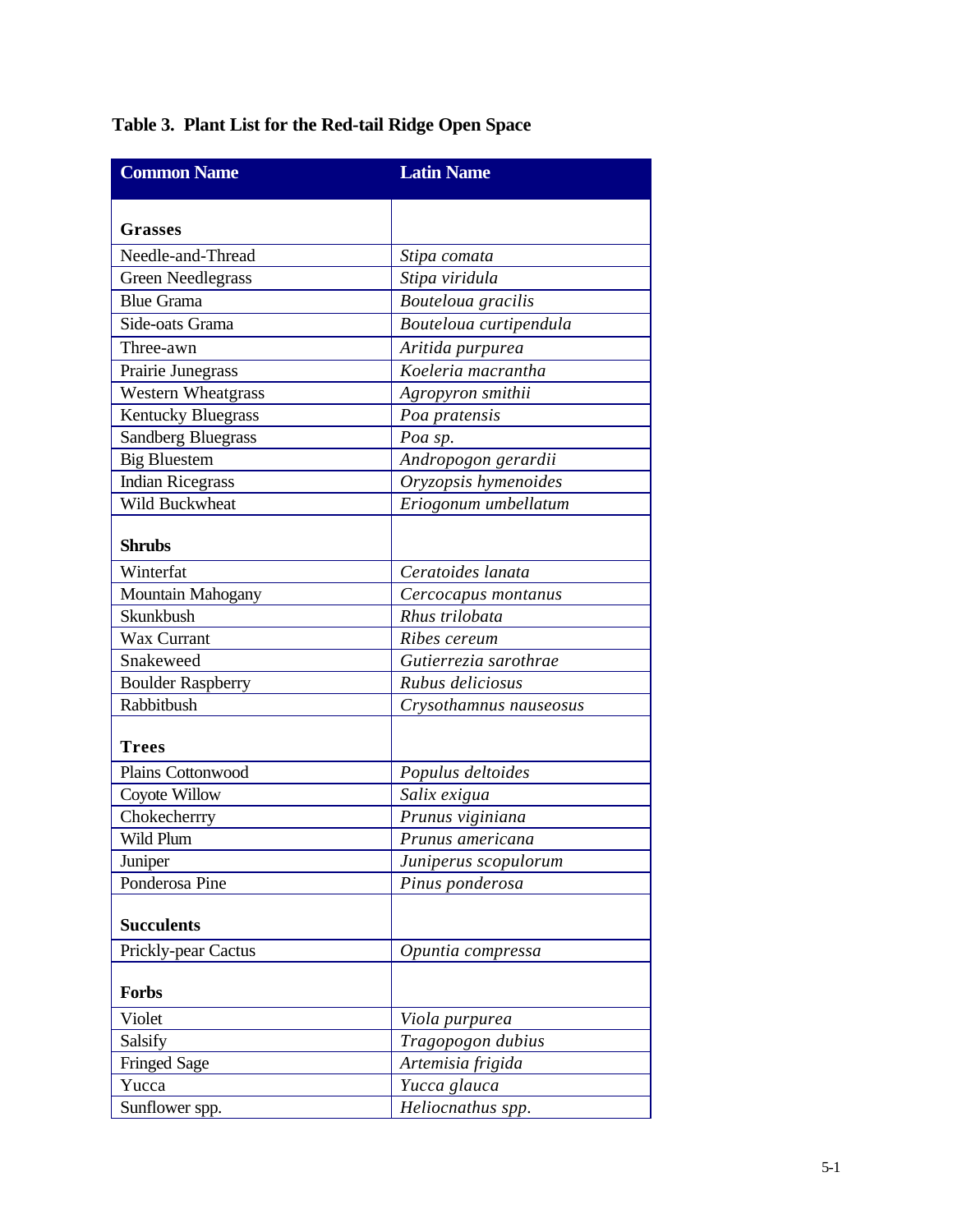# **Table 3. Plant List for the Red-tail Ridge Open Space**

| <b>Common Name</b>        | <b>Latin Name</b>      |
|---------------------------|------------------------|
| <b>Grasses</b>            |                        |
| Needle-and-Thread         | Stipa comata           |
|                           | Stipa viridula         |
| <b>Green Needlegrass</b>  |                        |
| <b>Blue Grama</b>         | Bouteloua gracilis     |
| Side-oats Grama           | Bouteloua curtipendula |
| Three-awn                 | Aritida purpurea       |
| Prairie Junegrass         | Koeleria macrantha     |
| <b>Western Wheatgrass</b> | Agropyron smithii      |
| <b>Kentucky Bluegrass</b> | Poa pratensis          |
| <b>Sandberg Bluegrass</b> | Poa sp.                |
| <b>Big Bluestem</b>       | Andropogon gerardii    |
| <b>Indian Ricegrass</b>   | Oryzopsis hymenoides   |
| Wild Buckwheat            | Eriogonum umbellatum   |
| <b>Shrubs</b>             |                        |
| Winterfat                 | Ceratoides lanata      |
| Mountain Mahogany         | Cercocapus montanus    |
| Skunkbush                 | Rhus trilobata         |
| Wax Currant               | Ribes cereum           |
| Snakeweed                 | Gutierrezia sarothrae  |
| <b>Boulder Raspberry</b>  | Rubus deliciosus       |
| Rabbitbush                | Crysothamnus nauseosus |
| <b>Trees</b>              |                        |
| Plains Cottonwood         | Populus deltoides      |
| Coyote Willow             | Salix exigua           |
| Chokecherrry              | Prunus viginiana       |
| Wild Plum                 | Prunus americana       |
| Juniper                   | Juniperus scopulorum   |
| Ponderosa Pine            | Pinus ponderosa        |
| <b>Succulents</b>         |                        |
| Prickly-pear Cactus       | Opuntia compressa      |
| Forbs                     |                        |
| Violet                    | Viola purpurea         |
| Salsify                   | Tragopogon dubius      |
| <b>Fringed Sage</b>       | Artemisia frigida      |
| Yucca                     | Yucca glauca           |
| Sunflower spp.            | Heliocnathus spp.      |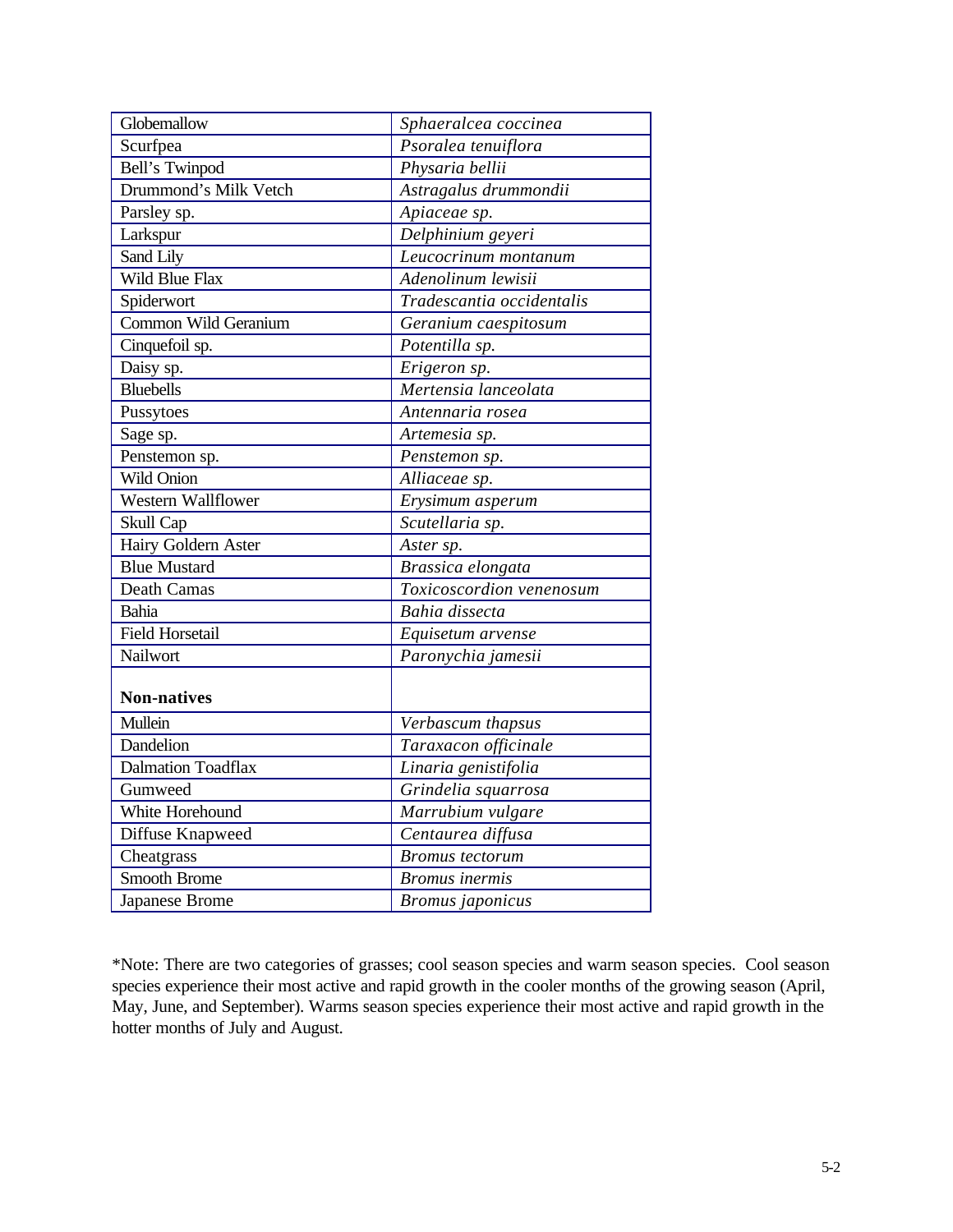| Globemallow               | Sphaeralcea coccinea      |
|---------------------------|---------------------------|
| Scurfpea                  | Psoralea tenuiflora       |
| Bell's Twinpod            | Physaria bellii           |
| Drummond's Milk Vetch     | Astragalus drummondii     |
| Parsley sp.               | Apiaceae sp.              |
| Larkspur                  | Delphinium geyeri         |
| Sand Lily                 | Leucocrinum montanum      |
| Wild Blue Flax            | Adenolinum lewisii        |
| Spiderwort                | Tradescantia occidentalis |
| Common Wild Geranium      | Geranium caespitosum      |
| Cinquefoil sp.            | Potentilla sp.            |
| Daisy sp.                 | Erigeron <sub>sp.</sub>   |
| <b>Bluebells</b>          | Mertensia lanceolata      |
| Pussytoes                 | Antennaria rosea          |
| Sage sp.                  | Artemesia sp.             |
| Penstemon sp.             | Penstemon sp.             |
| Wild Onion                | Alliaceae sp.             |
| Western Wallflower        | Erysimum asperum          |
| Skull Cap                 | Scutellaria sp.           |
| Hairy Goldern Aster       | Aster sp.                 |
| <b>Blue Mustard</b>       | Brassica elongata         |
| Death Camas               | Toxicoscordion venenosum  |
| Bahia                     | Bahia dissecta            |
| <b>Field Horsetail</b>    | Equisetum arvense         |
| Nailwort                  | Paronychia jamesii        |
|                           |                           |
| <b>Non-natives</b>        |                           |
| Mullein                   | Verbascum thapsus         |
| Dandelion                 | Taraxacon officinale      |
| <b>Dalmation Toadflax</b> | Linaria genistifolia      |
| Gumweed                   | Grindelia squarrosa       |
| White Horehound           | Marrubium vulgare         |
| Diffuse Knapweed          | Centaurea diffusa         |
| Cheatgrass                | <b>Bromus</b> tectorum    |
| Smooth Brome              | <b>Bromus</b> inermis     |
| Japanese Brome            | <b>Bromus</b> japonicus   |

\*Note: There are two categories of grasses; cool season species and warm season species. Cool season species experience their most active and rapid growth in the cooler months of the growing season (April, May, June, and September). Warms season species experience their most active and rapid growth in the hotter months of July and August.